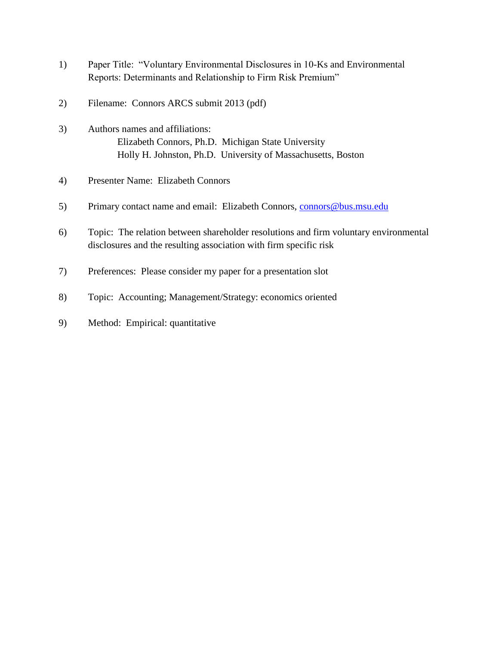- 1) Paper Title: "Voluntary Environmental Disclosures in 10-Ks and Environmental Reports: Determinants and Relationship to Firm Risk Premium"
- 2) Filename: Connors ARCS submit 2013 (pdf)
- 3) Authors names and affiliations: Elizabeth Connors, Ph.D. Michigan State University Holly H. Johnston, Ph.D. University of Massachusetts, Boston
- 4) Presenter Name: Elizabeth Connors
- 5) Primary contact name and email: Elizabeth Connors, [connors@bus.msu.edu](mailto:connors@bus.msu.edu)
- 6) Topic: The relation between shareholder resolutions and firm voluntary environmental disclosures and the resulting association with firm specific risk
- 7) Preferences: Please consider my paper for a presentation slot
- 8) Topic: Accounting; Management/Strategy: economics oriented
- 9) Method: Empirical: quantitative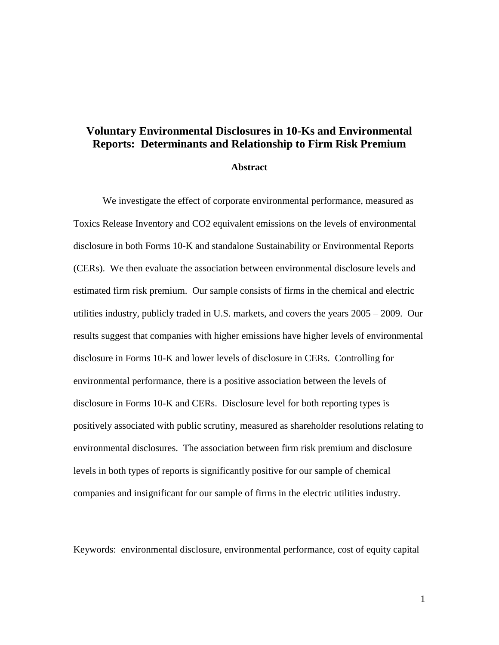# **Voluntary Environmental Disclosures in 10-Ks and Environmental Reports: Determinants and Relationship to Firm Risk Premium**

#### **Abstract**

We investigate the effect of corporate environmental performance, measured as Toxics Release Inventory and CO2 equivalent emissions on the levels of environmental disclosure in both Forms 10-K and standalone Sustainability or Environmental Reports (CERs). We then evaluate the association between environmental disclosure levels and estimated firm risk premium. Our sample consists of firms in the chemical and electric utilities industry, publicly traded in U.S. markets, and covers the years 2005 – 2009. Our results suggest that companies with higher emissions have higher levels of environmental disclosure in Forms 10-K and lower levels of disclosure in CERs. Controlling for environmental performance, there is a positive association between the levels of disclosure in Forms 10-K and CERs. Disclosure level for both reporting types is positively associated with public scrutiny, measured as shareholder resolutions relating to environmental disclosures. The association between firm risk premium and disclosure levels in both types of reports is significantly positive for our sample of chemical companies and insignificant for our sample of firms in the electric utilities industry.

Keywords: environmental disclosure, environmental performance, cost of equity capital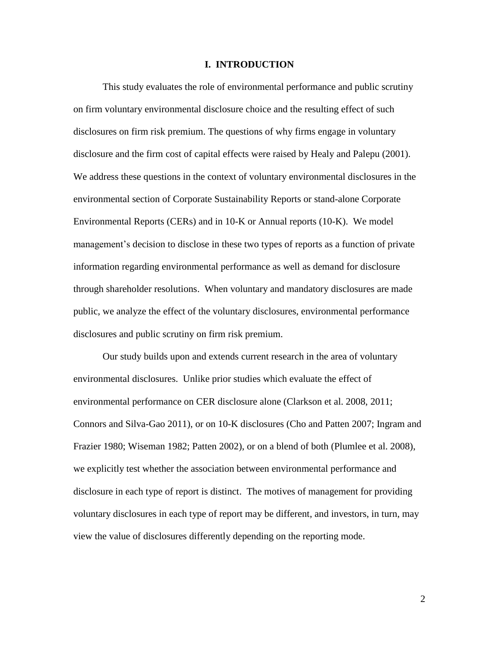#### **I. INTRODUCTION**

This study evaluates the role of environmental performance and public scrutiny on firm voluntary environmental disclosure choice and the resulting effect of such disclosures on firm risk premium. The questions of why firms engage in voluntary disclosure and the firm cost of capital effects were raised by Healy and Palepu (2001). We address these questions in the context of voluntary environmental disclosures in the environmental section of Corporate Sustainability Reports or stand-alone Corporate Environmental Reports (CERs) and in 10-K or Annual reports (10-K). We model management's decision to disclose in these two types of reports as a function of private information regarding environmental performance as well as demand for disclosure through shareholder resolutions. When voluntary and mandatory disclosures are made public, we analyze the effect of the voluntary disclosures, environmental performance disclosures and public scrutiny on firm risk premium.

Our study builds upon and extends current research in the area of voluntary environmental disclosures. Unlike prior studies which evaluate the effect of environmental performance on CER disclosure alone (Clarkson et al. 2008, 2011; Connors and Silva-Gao 2011), or on 10-K disclosures (Cho and Patten 2007; Ingram and Frazier 1980; Wiseman 1982; Patten 2002), or on a blend of both (Plumlee et al. 2008), we explicitly test whether the association between environmental performance and disclosure in each type of report is distinct. The motives of management for providing voluntary disclosures in each type of report may be different, and investors, in turn, may view the value of disclosures differently depending on the reporting mode.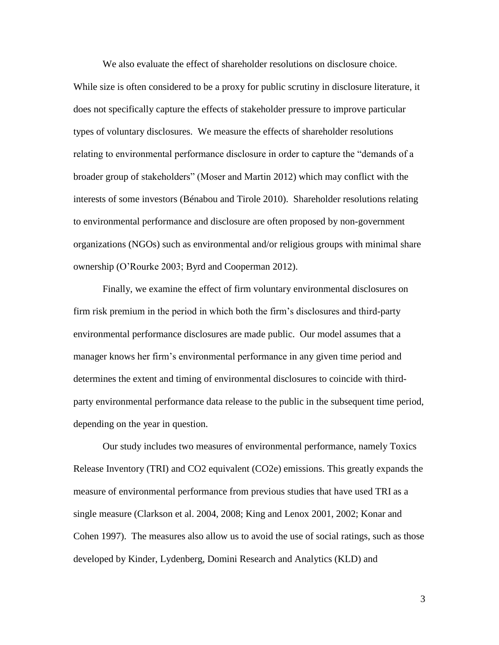We also evaluate the effect of shareholder resolutions on disclosure choice. While size is often considered to be a proxy for public scrutiny in disclosure literature, it does not specifically capture the effects of stakeholder pressure to improve particular types of voluntary disclosures. We measure the effects of shareholder resolutions relating to environmental performance disclosure in order to capture the "demands of a broader group of stakeholders" (Moser and Martin 2012) which may conflict with the interests of some investors (Bénabou and Tirole 2010). Shareholder resolutions relating to environmental performance and disclosure are often proposed by non-government organizations (NGOs) such as environmental and/or religious groups with minimal share ownership (O'Rourke 2003; Byrd and Cooperman 2012).

Finally, we examine the effect of firm voluntary environmental disclosures on firm risk premium in the period in which both the firm's disclosures and third-party environmental performance disclosures are made public. Our model assumes that a manager knows her firm's environmental performance in any given time period and determines the extent and timing of environmental disclosures to coincide with thirdparty environmental performance data release to the public in the subsequent time period, depending on the year in question.

Our study includes two measures of environmental performance, namely Toxics Release Inventory (TRI) and CO2 equivalent (CO2e) emissions. This greatly expands the measure of environmental performance from previous studies that have used TRI as a single measure (Clarkson et al. 2004, 2008; King and Lenox 2001, 2002; Konar and Cohen 1997). The measures also allow us to avoid the use of social ratings, such as those developed by Kinder, Lydenberg, Domini Research and Analytics (KLD) and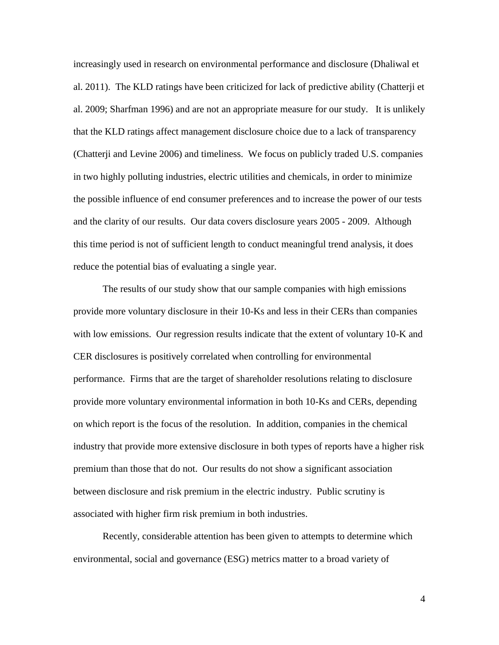increasingly used in research on environmental performance and disclosure (Dhaliwal et al. 2011). The KLD ratings have been criticized for lack of predictive ability (Chatterji et al. 2009; Sharfman 1996) and are not an appropriate measure for our study. It is unlikely that the KLD ratings affect management disclosure choice due to a lack of transparency (Chatterji and Levine 2006) and timeliness. We focus on publicly traded U.S. companies in two highly polluting industries, electric utilities and chemicals, in order to minimize the possible influence of end consumer preferences and to increase the power of our tests and the clarity of our results. Our data covers disclosure years 2005 - 2009. Although this time period is not of sufficient length to conduct meaningful trend analysis, it does reduce the potential bias of evaluating a single year.

The results of our study show that our sample companies with high emissions provide more voluntary disclosure in their 10-Ks and less in their CERs than companies with low emissions. Our regression results indicate that the extent of voluntary 10-K and CER disclosures is positively correlated when controlling for environmental performance. Firms that are the target of shareholder resolutions relating to disclosure provide more voluntary environmental information in both 10-Ks and CERs, depending on which report is the focus of the resolution. In addition, companies in the chemical industry that provide more extensive disclosure in both types of reports have a higher risk premium than those that do not. Our results do not show a significant association between disclosure and risk premium in the electric industry. Public scrutiny is associated with higher firm risk premium in both industries.

Recently, considerable attention has been given to attempts to determine which environmental, social and governance (ESG) metrics matter to a broad variety of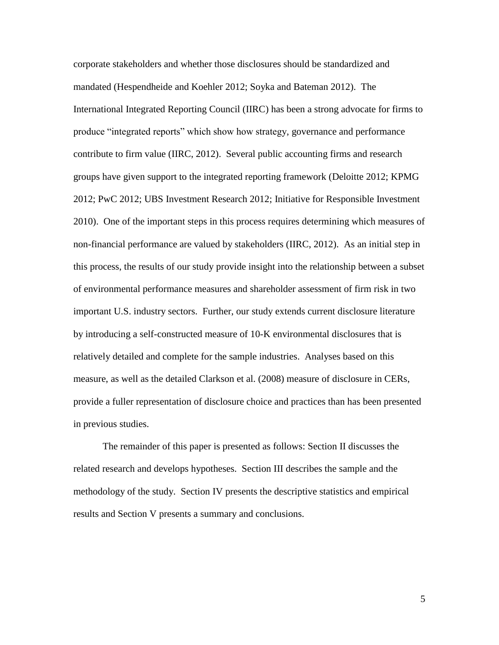corporate stakeholders and whether those disclosures should be standardized and mandated (Hespendheide and Koehler 2012; Soyka and Bateman 2012). The International Integrated Reporting Council (IIRC) has been a strong advocate for firms to produce "integrated reports" which show how strategy, governance and performance contribute to firm value (IIRC, 2012). Several public accounting firms and research groups have given support to the integrated reporting framework (Deloitte 2012; KPMG 2012; PwC 2012; UBS Investment Research 2012; Initiative for Responsible Investment 2010). One of the important steps in this process requires determining which measures of non-financial performance are valued by stakeholders (IIRC, 2012). As an initial step in this process, the results of our study provide insight into the relationship between a subset of environmental performance measures and shareholder assessment of firm risk in two important U.S. industry sectors. Further, our study extends current disclosure literature by introducing a self-constructed measure of 10-K environmental disclosures that is relatively detailed and complete for the sample industries. Analyses based on this measure, as well as the detailed Clarkson et al. (2008) measure of disclosure in CERs, provide a fuller representation of disclosure choice and practices than has been presented in previous studies.

The remainder of this paper is presented as follows: Section II discusses the related research and develops hypotheses. Section III describes the sample and the methodology of the study. Section IV presents the descriptive statistics and empirical results and Section V presents a summary and conclusions.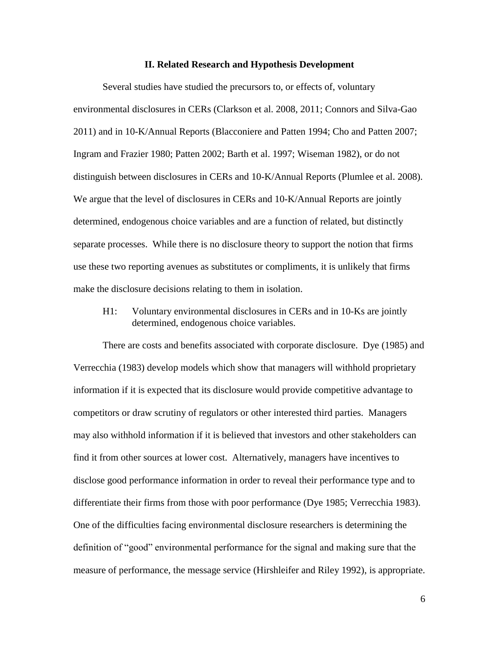#### **II. Related Research and Hypothesis Development**

Several studies have studied the precursors to, or effects of, voluntary environmental disclosures in CERs (Clarkson et al. 2008, 2011; Connors and Silva-Gao 2011) and in 10-K/Annual Reports (Blacconiere and Patten 1994; Cho and Patten 2007; Ingram and Frazier 1980; Patten 2002; Barth et al. 1997; Wiseman 1982), or do not distinguish between disclosures in CERs and 10-K/Annual Reports (Plumlee et al. 2008). We argue that the level of disclosures in CERs and 10-K/Annual Reports are jointly determined, endogenous choice variables and are a function of related, but distinctly separate processes. While there is no disclosure theory to support the notion that firms use these two reporting avenues as substitutes or compliments, it is unlikely that firms make the disclosure decisions relating to them in isolation.

H1: Voluntary environmental disclosures in CERs and in 10-Ks are jointly determined, endogenous choice variables.

There are costs and benefits associated with corporate disclosure. Dye (1985) and Verrecchia (1983) develop models which show that managers will withhold proprietary information if it is expected that its disclosure would provide competitive advantage to competitors or draw scrutiny of regulators or other interested third parties. Managers may also withhold information if it is believed that investors and other stakeholders can find it from other sources at lower cost. Alternatively, managers have incentives to disclose good performance information in order to reveal their performance type and to differentiate their firms from those with poor performance (Dye 1985; Verrecchia 1983). One of the difficulties facing environmental disclosure researchers is determining the definition of "good" environmental performance for the signal and making sure that the measure of performance, the message service (Hirshleifer and Riley 1992), is appropriate.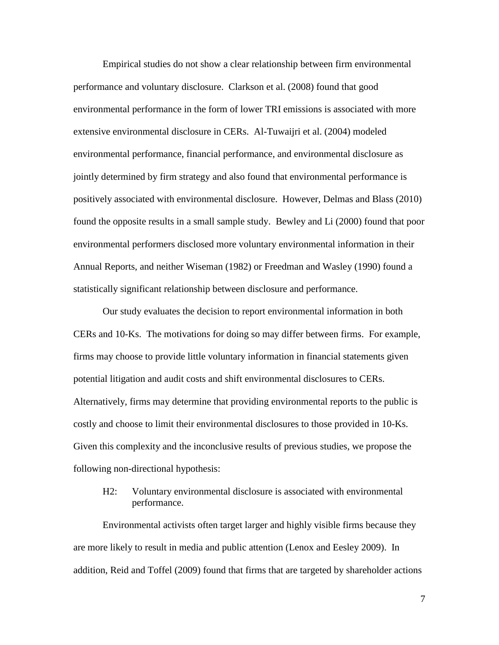Empirical studies do not show a clear relationship between firm environmental performance and voluntary disclosure. Clarkson et al. (2008) found that good environmental performance in the form of lower TRI emissions is associated with more extensive environmental disclosure in CERs. Al-Tuwaijri et al. (2004) modeled environmental performance, financial performance, and environmental disclosure as jointly determined by firm strategy and also found that environmental performance is positively associated with environmental disclosure. However, Delmas and Blass (2010) found the opposite results in a small sample study. Bewley and Li (2000) found that poor environmental performers disclosed more voluntary environmental information in their Annual Reports, and neither Wiseman (1982) or Freedman and Wasley (1990) found a statistically significant relationship between disclosure and performance.

Our study evaluates the decision to report environmental information in both CERs and 10-Ks. The motivations for doing so may differ between firms. For example, firms may choose to provide little voluntary information in financial statements given potential litigation and audit costs and shift environmental disclosures to CERs. Alternatively, firms may determine that providing environmental reports to the public is costly and choose to limit their environmental disclosures to those provided in 10-Ks. Given this complexity and the inconclusive results of previous studies, we propose the following non-directional hypothesis:

H2: Voluntary environmental disclosure is associated with environmental performance.

Environmental activists often target larger and highly visible firms because they are more likely to result in media and public attention (Lenox and Eesley 2009). In addition, Reid and Toffel (2009) found that firms that are targeted by shareholder actions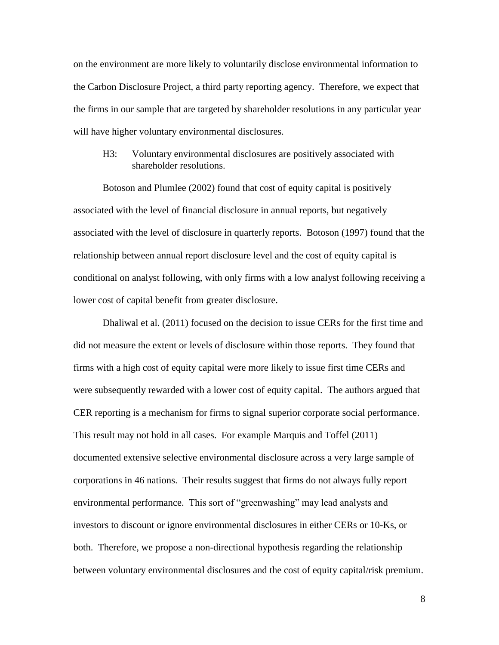on the environment are more likely to voluntarily disclose environmental information to the Carbon Disclosure Project, a third party reporting agency. Therefore, we expect that the firms in our sample that are targeted by shareholder resolutions in any particular year will have higher voluntary environmental disclosures.

## H3: Voluntary environmental disclosures are positively associated with shareholder resolutions.

Botoson and Plumlee (2002) found that cost of equity capital is positively associated with the level of financial disclosure in annual reports, but negatively associated with the level of disclosure in quarterly reports. Botoson (1997) found that the relationship between annual report disclosure level and the cost of equity capital is conditional on analyst following, with only firms with a low analyst following receiving a lower cost of capital benefit from greater disclosure.

Dhaliwal et al. (2011) focused on the decision to issue CERs for the first time and did not measure the extent or levels of disclosure within those reports. They found that firms with a high cost of equity capital were more likely to issue first time CERs and were subsequently rewarded with a lower cost of equity capital. The authors argued that CER reporting is a mechanism for firms to signal superior corporate social performance. This result may not hold in all cases. For example Marquis and Toffel (2011) documented extensive selective environmental disclosure across a very large sample of corporations in 46 nations. Their results suggest that firms do not always fully report environmental performance. This sort of "greenwashing" may lead analysts and investors to discount or ignore environmental disclosures in either CERs or 10-Ks, or both. Therefore, we propose a non-directional hypothesis regarding the relationship between voluntary environmental disclosures and the cost of equity capital/risk premium.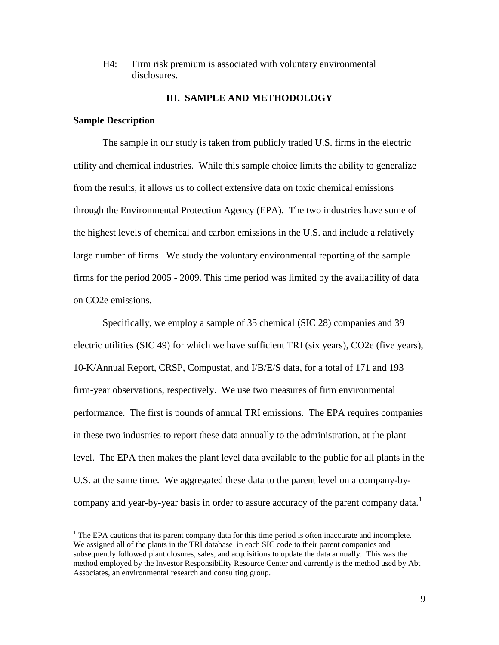H4: Firm risk premium is associated with voluntary environmental disclosures.

### **III. SAMPLE AND METHODOLOGY**

#### **Sample Description**

 $\overline{a}$ 

The sample in our study is taken from publicly traded U.S. firms in the electric utility and chemical industries. While this sample choice limits the ability to generalize from the results, it allows us to collect extensive data on toxic chemical emissions through the Environmental Protection Agency (EPA). The two industries have some of the highest levels of chemical and carbon emissions in the U.S. and include a relatively large number of firms. We study the voluntary environmental reporting of the sample firms for the period 2005 - 2009. This time period was limited by the availability of data on CO2e emissions.

Specifically, we employ a sample of 35 chemical (SIC 28) companies and 39 electric utilities (SIC 49) for which we have sufficient TRI (six years), CO2e (five years), 10-K/Annual Report, CRSP, Compustat, and I/B/E/S data, for a total of 171 and 193 firm-year observations, respectively. We use two measures of firm environmental performance. The first is pounds of annual TRI emissions. The EPA requires companies in these two industries to report these data annually to the administration, at the plant level. The EPA then makes the plant level data available to the public for all plants in the U.S. at the same time. We aggregated these data to the parent level on a company-bycompany and year-by-year basis in order to assure accuracy of the parent company data.<sup>1</sup>

<sup>&</sup>lt;sup>1</sup> The EPA cautions that its parent company data for this time period is often inaccurate and incomplete. We assigned all of the plants in the TRI database in each SIC code to their parent companies and subsequently followed plant closures, sales, and acquisitions to update the data annually. This was the method employed by the Investor Responsibility Resource Center and currently is the method used by Abt Associates, an environmental research and consulting group.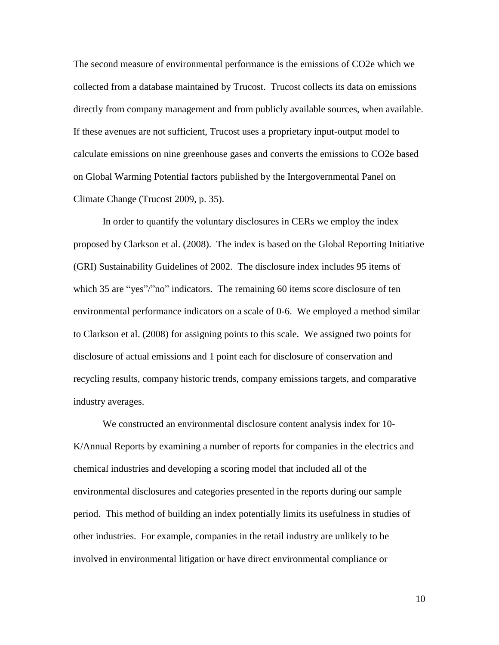The second measure of environmental performance is the emissions of CO2e which we collected from a database maintained by Trucost. Trucost collects its data on emissions directly from company management and from publicly available sources, when available. If these avenues are not sufficient, Trucost uses a proprietary input-output model to calculate emissions on nine greenhouse gases and converts the emissions to CO2e based on Global Warming Potential factors published by the Intergovernmental Panel on Climate Change (Trucost 2009, p. 35).

In order to quantify the voluntary disclosures in CERs we employ the index proposed by Clarkson et al. (2008). The index is based on the Global Reporting Initiative (GRI) Sustainability Guidelines of 2002. The disclosure index includes 95 items of which 35 are "yes"/"no" indicators. The remaining 60 items score disclosure of ten environmental performance indicators on a scale of 0-6. We employed a method similar to Clarkson et al. (2008) for assigning points to this scale. We assigned two points for disclosure of actual emissions and 1 point each for disclosure of conservation and recycling results, company historic trends, company emissions targets, and comparative industry averages.

We constructed an environmental disclosure content analysis index for 10- K/Annual Reports by examining a number of reports for companies in the electrics and chemical industries and developing a scoring model that included all of the environmental disclosures and categories presented in the reports during our sample period. This method of building an index potentially limits its usefulness in studies of other industries. For example, companies in the retail industry are unlikely to be involved in environmental litigation or have direct environmental compliance or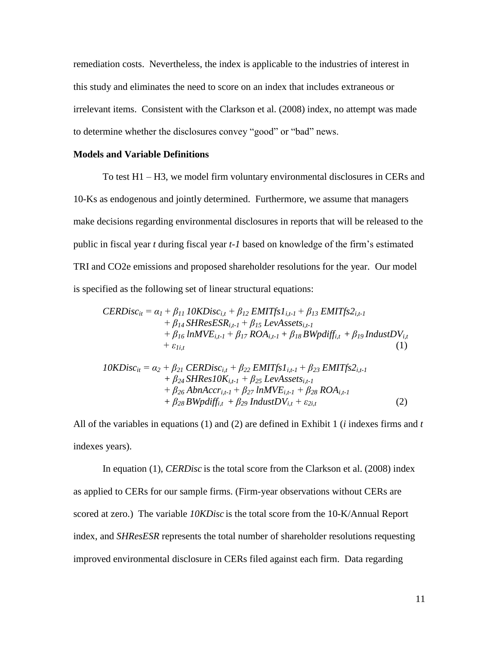remediation costs. Nevertheless, the index is applicable to the industries of interest in this study and eliminates the need to score on an index that includes extraneous or irrelevant items. Consistent with the Clarkson et al. (2008) index, no attempt was made to determine whether the disclosures convey "good" or "bad" news.

#### **Models and Variable Definitions**

To test H1 – H3, we model firm voluntary environmental disclosures in CERs and 10-Ks as endogenous and jointly determined. Furthermore, we assume that managers make decisions regarding environmental disclosures in reports that will be released to the public in fiscal year *t* during fiscal year *t-1* based on knowledge of the firm's estimated TRI and CO2e emissions and proposed shareholder resolutions for the year. Our model is specified as the following set of linear structural equations:

$$
CERDisc_{it} = \alpha_1 + \beta_{11} \text{ 10KDisc}_{i,t} + \beta_{12} \text{ EMITfs1}_{i,t-1} + \beta_{13} \text{ EMITfs2}_{i,t-1} + \beta_{14} \text{SHResESR}_{i,t-1} + \beta_{15} \text{ LevAssets}_{i,t-1} + \beta_{16} \text{ lnMVE}_{i,t-1} + \beta_{17} \text{ ROA}_{i,t-1} + \beta_{18} \text{ BWpdff}_{i,t} + \beta_{19} \text{ IndustDV}_{i,t} + \varepsilon_{1i,t}
$$
\n(1)  
\n10KDisc<sub>it</sub> =  $\alpha_2 + \beta_{21} \text{ CERDisc}_{i,t} + \beta_{22} \text{ EMITfs1}_{i,t-1} + \beta_{23} \text{ EMITfs2}_{i,t-1}$ 

$$
+ \beta_{24} SHRes1OK_{i,t-1} + \beta_{25} LevAssets_{i,t-1} + \beta_{24} SHRes1OK_{i,t-1} + \beta_{25} LevAssets_{i,t-1} + \beta_{26} AbnAccr_{i,t-1} + \beta_{27} lnMVE_{i,t-1} + \beta_{28} ROA_{i,t-1} + \beta_{28} BWpdff_{i,t} + \beta_{29} IndustDV_{i,t} + \varepsilon_{2i,t}
$$
 (2)

All of the variables in equations (1) and (2) are defined in Exhibit 1 (*i* indexes firms and *t* indexes years).

In equation (1), *CERDisc* is the total score from the Clarkson et al. (2008) index as applied to CERs for our sample firms. (Firm-year observations without CERs are scored at zero.) The variable *10KDisc* is the total score from the 10-K/Annual Report index, and *SHResESR* represents the total number of shareholder resolutions requesting improved environmental disclosure in CERs filed against each firm. Data regarding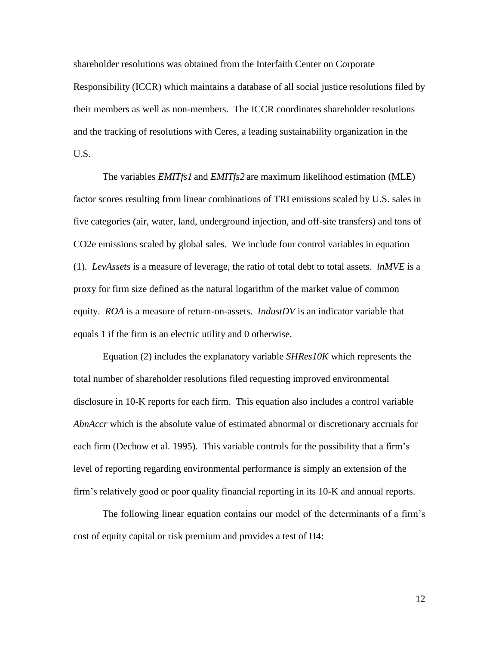shareholder resolutions was obtained from the Interfaith Center on Corporate Responsibility (ICCR) which maintains a database of all social justice resolutions filed by their members as well as non-members. The ICCR coordinates shareholder resolutions and the tracking of resolutions with Ceres, a leading sustainability organization in the U.S.

The variables *EMITfs1* and *EMITfs2* are maximum likelihood estimation (MLE) factor scores resulting from linear combinations of TRI emissions scaled by U.S. sales in five categories (air, water, land, underground injection, and off-site transfers) and tons of CO2e emissions scaled by global sales. We include four control variables in equation (1). *LevAssets* is a measure of leverage, the ratio of total debt to total assets. *lnMVE* is a proxy for firm size defined as the natural logarithm of the market value of common equity. *ROA* is a measure of return-on-assets. *IndustDV* is an indicator variable that equals 1 if the firm is an electric utility and 0 otherwise.

Equation (2) includes the explanatory variable *SHRes10K* which represents the total number of shareholder resolutions filed requesting improved environmental disclosure in 10-K reports for each firm. This equation also includes a control variable *AbnAccr* which is the absolute value of estimated abnormal or discretionary accruals for each firm (Dechow et al. 1995). This variable controls for the possibility that a firm's level of reporting regarding environmental performance is simply an extension of the firm's relatively good or poor quality financial reporting in its 10-K and annual reports.

The following linear equation contains our model of the determinants of a firm's cost of equity capital or risk premium and provides a test of H4: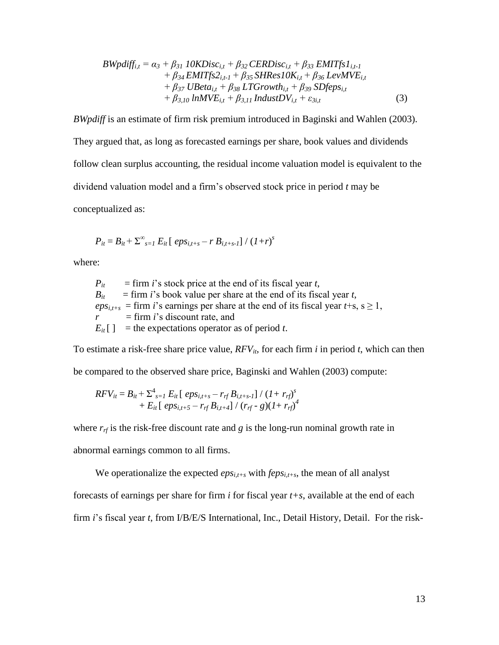$$
BWpdf_{i,t} = \alpha_3 + \beta_{31} \; 10KDisc_{i,t} + \beta_{32} \; CERDisc_{i,t} + \beta_{33} \; EMITfs1_{i,t-1} + \beta_{34} \; EMITfs2_{i,t-1} + \beta_{35} \; SHRes1OK_{i,t} + \beta_{36} \; LevMVE_{i,t} + \beta_{37} \; UBeta_{i,t} + \beta_{38} \; LTGrowth_{i,t} + \beta_{39} \; SDfeps_{i,t} + \beta_{3,10} \; lnMVE_{i,t} + \beta_{3,11} \; IndustDV_{i,t} + \varepsilon_{3i,t}
$$
(3)

*BWpdiff* is an estimate of firm risk premium introduced in Baginski and Wahlen (2003). They argued that, as long as forecasted earnings per share, book values and dividends follow clean surplus accounting, the residual income valuation model is equivalent to the dividend valuation model and a firm's observed stock price in period *t* may be conceptualized as:

$$
P_{it} = B_{it} + \sum_{s=1}^{\infty} E_{it} [epS_{i,t+s} - r B_{i,t+s-1}] / (1+r)^s
$$

where:

 $P_{it}$  = firm *i*'s stock price at the end of its fiscal year *t*,  $B_{it}$  = firm *i*'s book value per share at the end of its fiscal year *t*,  $eps<sub>i,t+s</sub>$  = firm *i*'s earnings per share at the end of its fiscal year *t*+s, s  $\geq$  1,  $r = \text{firm } i$ 's discount rate, and  $E_{it}$ [ ] = the expectations operator as of period *t*.

To estimate a risk-free share price value,  $RFV_{it}$ , for each firm *i* in period *t*, which can then be compared to the observed share price, Baginski and Wahlen (2003) compute:

$$
RFV_{it} = B_{it} + \sum_{s=1}^{4} E_{it} [\,\, eps_{i,t+s} - r_{rf}B_{i,t+s-1}]/\,\left(1 + r_{rf}\right)^s \\ + E_{it} [\,\, eps_{i,t+5} - r_{rf}B_{i,t+4}]/\,\left(r_{rf} - g\right)\left(1 + r_{rf}\right)^4
$$

where  $r_{rf}$  is the risk-free discount rate and *g* is the long-run nominal growth rate in

abnormal earnings common to all firms.

We operationalize the expected  $eps_{i,t+s}$  with  $feps_{i,t+s}$ , the mean of all analyst

forecasts of earnings per share for firm *i* for fiscal year *t+s*, available at the end of each

firm *i*'s fiscal year *t*, from I/B/E/S International, Inc., Detail History, Detail. For the risk-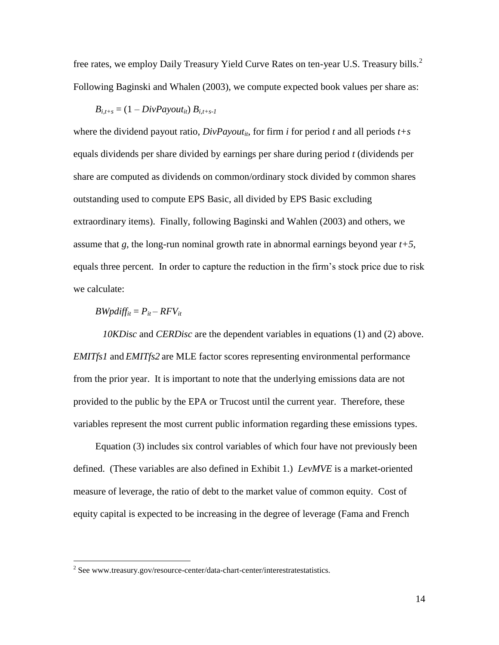free rates, we employ Daily Treasury Yield Curve Rates on ten-year U.S. Treasury bills.<sup>2</sup> Following Baginski and Whalen (2003), we compute expected book values per share as:

$$
B_{i,t+s} = (1 - DivPayout_{it}) B_{i,t+s-1}
$$

where the dividend payout ratio,  $DivPayout_{it}$ , for firm *i* for period *t* and all periods  $t+s$ equals dividends per share divided by earnings per share during period *t* (dividends per share are computed as dividends on common/ordinary stock divided by common shares outstanding used to compute EPS Basic, all divided by EPS Basic excluding extraordinary items). Finally, following Baginski and Wahlen (2003) and others, we assume that  $g$ , the long-run nominal growth rate in abnormal earnings beyond year  $t+5$ , equals three percent. In order to capture the reduction in the firm's stock price due to risk we calculate:

### $BWpdf_{it} = P_{it} - RFV_{it}$

*10KDisc* and *CERDisc* are the dependent variables in equations (1) and (2) above. *EMITfs1* and *EMITfs2* are MLE factor scores representing environmental performance from the prior year. It is important to note that the underlying emissions data are not provided to the public by the EPA or Trucost until the current year. Therefore, these variables represent the most current public information regarding these emissions types.

Equation (3) includes six control variables of which four have not previously been defined. (These variables are also defined in Exhibit 1.) *LevMVE* is a market-oriented measure of leverage, the ratio of debt to the market value of common equity. Cost of equity capital is expected to be increasing in the degree of leverage (Fama and French

 2 See www.treasury.gov/resource-center/data-chart-center/interestratestatistics.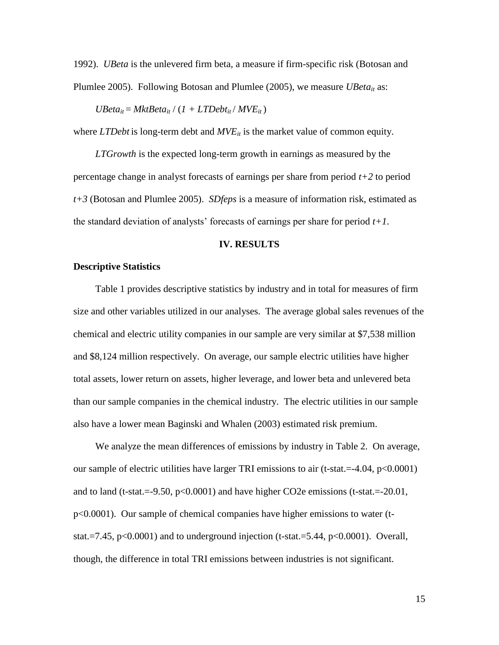1992). *UBeta* is the unlevered firm beta, a measure if firm-specific risk (Botosan and Plumlee 2005). Following Botosan and Plumlee (2005), we measure *UBeta<sub>it</sub>* as:

 $UBeta_{it} = MktBeta_{it} / (1 + LTDebt_{it} / MVE_{it})$ 

where *LTDebt* is long-term debt and  $MVE_{it}$  is the market value of common equity.

*LTGrowth* is the expected long-term growth in earnings as measured by the percentage change in analyst forecasts of earnings per share from period *t+2* to period *t+3* (Botosan and Plumlee 2005). *SDfeps* is a measure of information risk, estimated as the standard deviation of analysts' forecasts of earnings per share for period *t+1*.

#### **IV. RESULTS**

#### **Descriptive Statistics**

Table 1 provides descriptive statistics by industry and in total for measures of firm size and other variables utilized in our analyses. The average global sales revenues of the chemical and electric utility companies in our sample are very similar at \$7,538 million and \$8,124 million respectively. On average, our sample electric utilities have higher total assets, lower return on assets, higher leverage, and lower beta and unlevered beta than our sample companies in the chemical industry. The electric utilities in our sample also have a lower mean Baginski and Whalen (2003) estimated risk premium.

We analyze the mean differences of emissions by industry in Table 2. On average, our sample of electric utilities have larger TRI emissions to air (t-stat.=-4.04, p<0.0001) and to land (t-stat.=-9.50, p<0.0001) and have higher CO2e emissions (t-stat.=-20.01, p<0.0001). Our sample of chemical companies have higher emissions to water (tstat.=7.45,  $p<0.0001$  and to underground injection (t-stat.=5.44,  $p<0.0001$ ). Overall, though, the difference in total TRI emissions between industries is not significant.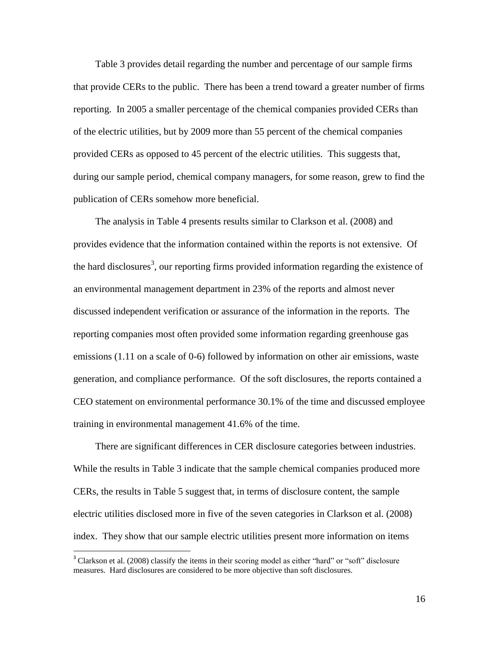Table 3 provides detail regarding the number and percentage of our sample firms that provide CERs to the public. There has been a trend toward a greater number of firms reporting. In 2005 a smaller percentage of the chemical companies provided CERs than of the electric utilities, but by 2009 more than 55 percent of the chemical companies provided CERs as opposed to 45 percent of the electric utilities. This suggests that, during our sample period, chemical company managers, for some reason, grew to find the publication of CERs somehow more beneficial.

The analysis in Table 4 presents results similar to Clarkson et al. (2008) and provides evidence that the information contained within the reports is not extensive. Of the hard disclosures<sup>3</sup>, our reporting firms provided information regarding the existence of an environmental management department in 23% of the reports and almost never discussed independent verification or assurance of the information in the reports. The reporting companies most often provided some information regarding greenhouse gas emissions (1.11 on a scale of 0-6) followed by information on other air emissions, waste generation, and compliance performance. Of the soft disclosures, the reports contained a CEO statement on environmental performance 30.1% of the time and discussed employee training in environmental management 41.6% of the time.

There are significant differences in CER disclosure categories between industries. While the results in Table 3 indicate that the sample chemical companies produced more CERs, the results in Table 5 suggest that, in terms of disclosure content, the sample electric utilities disclosed more in five of the seven categories in Clarkson et al. (2008) index. They show that our sample electric utilities present more information on items

 $\overline{a}$ 

<sup>&</sup>lt;sup>3</sup> Clarkson et al. (2008) classify the items in their scoring model as either "hard" or "soft" disclosure measures. Hard disclosures are considered to be more objective than soft disclosures.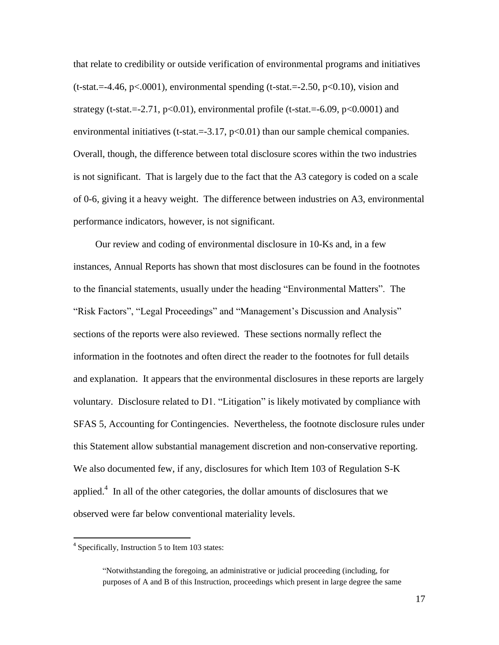that relate to credibility or outside verification of environmental programs and initiatives  $(t-stat = -4.46, p < .0001)$ , environmental spending  $(t-stat = -2.50, p < 0.10)$ , vision and strategy (t-stat. $=2.71$ ,  $p<0.01$ ), environmental profile (t-stat. $=6.09$ ,  $p<0.0001$ ) and environmental initiatives (t-stat.  $=3.17$ ,  $p<0.01$ ) than our sample chemical companies. Overall, though, the difference between total disclosure scores within the two industries is not significant. That is largely due to the fact that the A3 category is coded on a scale of 0-6, giving it a heavy weight. The difference between industries on A3, environmental performance indicators, however, is not significant.

Our review and coding of environmental disclosure in 10-Ks and, in a few instances, Annual Reports has shown that most disclosures can be found in the footnotes to the financial statements, usually under the heading "Environmental Matters". The "Risk Factors", "Legal Proceedings" and "Management's Discussion and Analysis" sections of the reports were also reviewed. These sections normally reflect the information in the footnotes and often direct the reader to the footnotes for full details and explanation. It appears that the environmental disclosures in these reports are largely voluntary. Disclosure related to D1. "Litigation" is likely motivated by compliance with SFAS 5, Accounting for Contingencies. Nevertheless, the footnote disclosure rules under this Statement allow substantial management discretion and non-conservative reporting. We also documented few, if any, disclosures for which Item 103 of Regulation S-K applied. $4$  In all of the other categories, the dollar amounts of disclosures that we observed were far below conventional materiality levels.

 $\overline{a}$ 

<sup>&</sup>lt;sup>4</sup> Specifically, Instruction 5 to Item 103 states:

<sup>&</sup>quot;Notwithstanding the foregoing, an administrative or judicial proceeding (including, for purposes of A and B of this Instruction, proceedings which present in large degree the same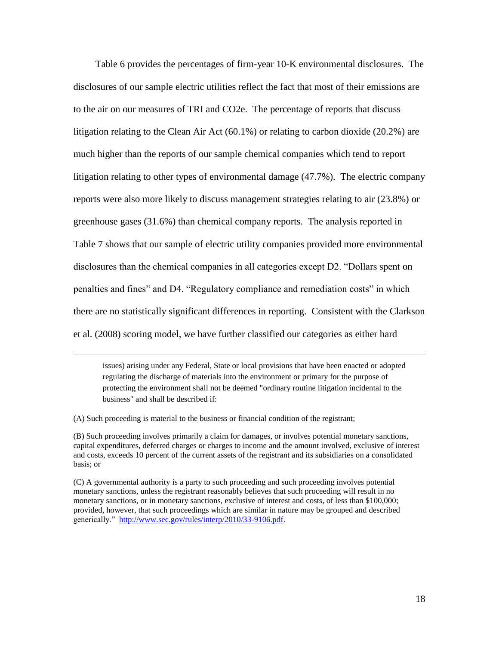Table 6 provides the percentages of firm-year 10-K environmental disclosures. The disclosures of our sample electric utilities reflect the fact that most of their emissions are to the air on our measures of TRI and CO2e. The percentage of reports that discuss litigation relating to the Clean Air Act (60.1%) or relating to carbon dioxide (20.2%) are much higher than the reports of our sample chemical companies which tend to report litigation relating to other types of environmental damage (47.7%). The electric company reports were also more likely to discuss management strategies relating to air (23.8%) or greenhouse gases (31.6%) than chemical company reports. The analysis reported in Table 7 shows that our sample of electric utility companies provided more environmental disclosures than the chemical companies in all categories except D2. "Dollars spent on penalties and fines" and D4. "Regulatory compliance and remediation costs" in which there are no statistically significant differences in reporting. Consistent with the Clarkson et al. (2008) scoring model, we have further classified our categories as either hard

issues) arising under any Federal, State or local provisions that have been enacted or adopted regulating the discharge of materials into the environment or primary for the purpose of protecting the environment shall not be deemed "ordinary routine litigation incidental to the business" and shall be described if:

(A) Such proceeding is material to the business or financial condition of the registrant;

 $\overline{a}$ 

(B) Such proceeding involves primarily a claim for damages, or involves potential monetary sanctions, capital expenditures, deferred charges or charges to income and the amount involved, exclusive of interest and costs, exceeds 10 percent of the current assets of the registrant and its subsidiaries on a consolidated basis; or

(C) A governmental authority is a party to such proceeding and such proceeding involves potential monetary sanctions, unless the registrant reasonably believes that such proceeding will result in no monetary sanctions, or in monetary sanctions, exclusive of interest and costs, of less than \$100,000; provided, however, that such proceedings which are similar in nature may be grouped and described generically." [http://www.sec.gov/rules/interp/2010/33-9106.pdf.](http://www.sec.gov/rules/interp/2010/33-9106.pdf)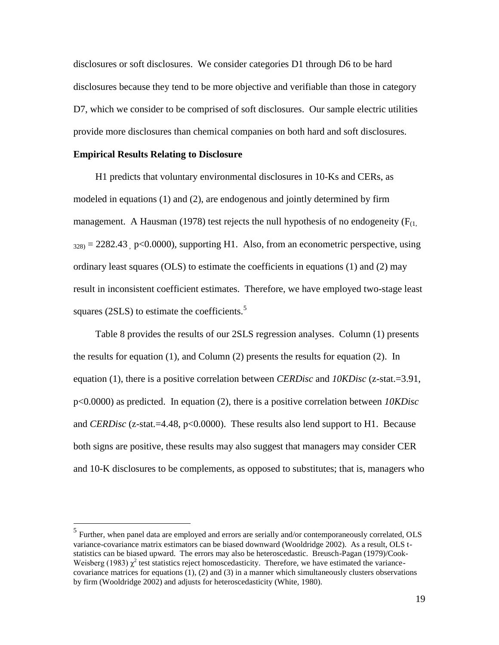disclosures or soft disclosures. We consider categories D1 through D6 to be hard disclosures because they tend to be more objective and verifiable than those in category D7, which we consider to be comprised of soft disclosures. Our sample electric utilities provide more disclosures than chemical companies on both hard and soft disclosures.

#### **Empirical Results Relating to Disclosure**

 $\overline{a}$ 

H1 predicts that voluntary environmental disclosures in 10-Ks and CERs, as modeled in equations (1) and (2), are endogenous and jointly determined by firm management. A Hausman (1978) test rejects the null hypothesis of no endogeneity  $(F_{(1)})$  $328$  = 2282.43 p<0.0000), supporting H1. Also, from an econometric perspective, using ordinary least squares (OLS) to estimate the coefficients in equations (1) and (2) may result in inconsistent coefficient estimates. Therefore, we have employed two-stage least squares (2SLS) to estimate the coefficients. $5$ 

Table 8 provides the results of our 2SLS regression analyses. Column (1) presents the results for equation  $(1)$ , and Column  $(2)$  presents the results for equation  $(2)$ . In equation (1), there is a positive correlation between *CERDisc* and *10KDisc* (z-stat.=3.91, p<0.0000) as predicted. In equation (2), there is a positive correlation between *10KDisc*  and *CERDisc* (z-stat.=4.48, p<0.0000). These results also lend support to H1. Because both signs are positive, these results may also suggest that managers may consider CER and 10-K disclosures to be complements, as opposed to substitutes; that is, managers who

<sup>&</sup>lt;sup>5</sup> Further, when panel data are employed and errors are serially and/or contemporaneously correlated, OLS variance-covariance matrix estimators can be biased downward (Wooldridge 2002). As a result, OLS tstatistics can be biased upward. The errors may also be heteroscedastic. Breusch-Pagan (1979)/Cook-Weisberg (1983)  $\chi^2$  test statistics reject homoscedasticity. Therefore, we have estimated the variancecovariance matrices for equations (1), (2) and (3) in a manner which simultaneously clusters observations by firm (Wooldridge 2002) and adjusts for heteroscedasticity (White, 1980).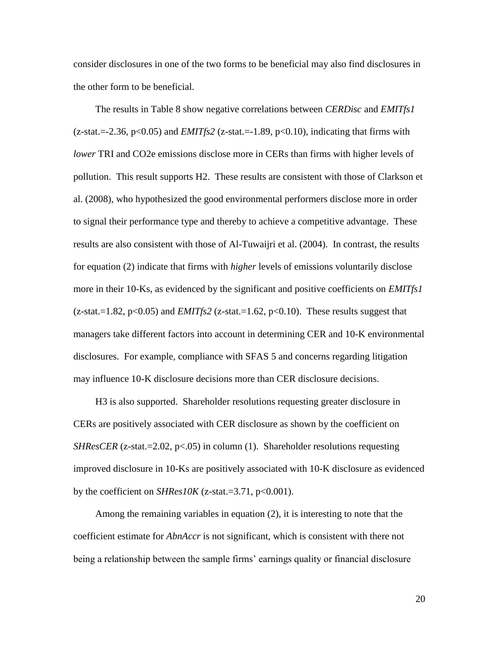consider disclosures in one of the two forms to be beneficial may also find disclosures in the other form to be beneficial.

The results in Table 8 show negative correlations between *CERDisc* and *EMITfs1*  $(z-stat = 2.36, p<0.05)$  and *EMITfs2* ( $z-stat = -1.89, p<0.10$ ), indicating that firms with *lower* TRI and CO2e emissions disclose more in CERs than firms with higher levels of pollution. This result supports H2. These results are consistent with those of Clarkson et al. (2008), who hypothesized the good environmental performers disclose more in order to signal their performance type and thereby to achieve a competitive advantage. These results are also consistent with those of Al-Tuwaijri et al. (2004). In contrast, the results for equation (2) indicate that firms with *higher* levels of emissions voluntarily disclose more in their 10-Ks, as evidenced by the significant and positive coefficients on *EMITfs1*  $(z-stat = 1.82, p < 0.05)$  and *EMITfs2*  $(z-stat = 1.62, p < 0.10)$ . These results suggest that managers take different factors into account in determining CER and 10-K environmental disclosures. For example, compliance with SFAS 5 and concerns regarding litigation may influence 10-K disclosure decisions more than CER disclosure decisions.

H3 is also supported. Shareholder resolutions requesting greater disclosure in CERs are positively associated with CER disclosure as shown by the coefficient on *SHResCER* (z-stat.=2.02,  $p<0.05$ ) in column (1). Shareholder resolutions requesting improved disclosure in 10-Ks are positively associated with 10-K disclosure as evidenced by the coefficient on *SHRes10K* (z-stat.=3.71, p<0.001).

Among the remaining variables in equation (2), it is interesting to note that the coefficient estimate for *AbnAccr* is not significant, which is consistent with there not being a relationship between the sample firms' earnings quality or financial disclosure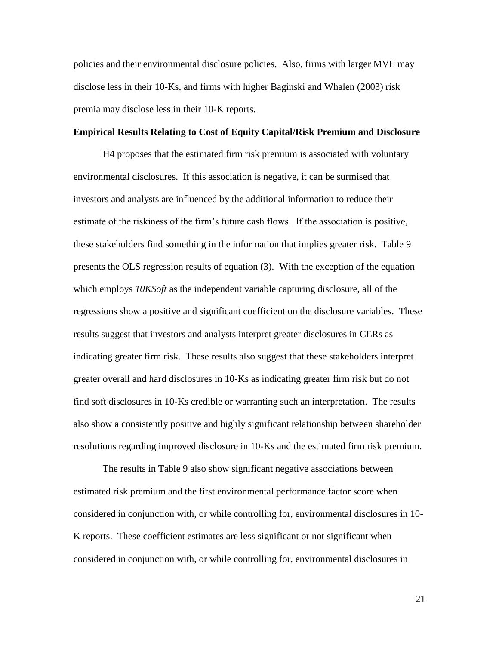policies and their environmental disclosure policies. Also, firms with larger MVE may disclose less in their 10-Ks, and firms with higher Baginski and Whalen (2003) risk premia may disclose less in their 10-K reports.

#### **Empirical Results Relating to Cost of Equity Capital/Risk Premium and Disclosure**

H4 proposes that the estimated firm risk premium is associated with voluntary environmental disclosures. If this association is negative, it can be surmised that investors and analysts are influenced by the additional information to reduce their estimate of the riskiness of the firm's future cash flows. If the association is positive, these stakeholders find something in the information that implies greater risk. Table 9 presents the OLS regression results of equation (3). With the exception of the equation which employs *10KSoft* as the independent variable capturing disclosure, all of the regressions show a positive and significant coefficient on the disclosure variables. These results suggest that investors and analysts interpret greater disclosures in CERs as indicating greater firm risk. These results also suggest that these stakeholders interpret greater overall and hard disclosures in 10-Ks as indicating greater firm risk but do not find soft disclosures in 10-Ks credible or warranting such an interpretation. The results also show a consistently positive and highly significant relationship between shareholder resolutions regarding improved disclosure in 10-Ks and the estimated firm risk premium.

The results in Table 9 also show significant negative associations between estimated risk premium and the first environmental performance factor score when considered in conjunction with, or while controlling for, environmental disclosures in 10- K reports. These coefficient estimates are less significant or not significant when considered in conjunction with, or while controlling for, environmental disclosures in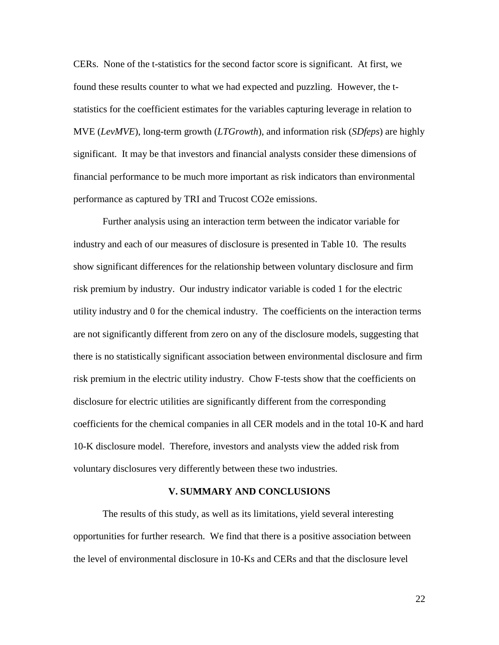CERs. None of the t-statistics for the second factor score is significant. At first, we found these results counter to what we had expected and puzzling. However, the tstatistics for the coefficient estimates for the variables capturing leverage in relation to MVE (*LevMVE*), long-term growth (*LTGrowth*), and information risk (*SDfeps*) are highly significant. It may be that investors and financial analysts consider these dimensions of financial performance to be much more important as risk indicators than environmental performance as captured by TRI and Trucost CO2e emissions.

Further analysis using an interaction term between the indicator variable for industry and each of our measures of disclosure is presented in Table 10. The results show significant differences for the relationship between voluntary disclosure and firm risk premium by industry. Our industry indicator variable is coded 1 for the electric utility industry and 0 for the chemical industry. The coefficients on the interaction terms are not significantly different from zero on any of the disclosure models, suggesting that there is no statistically significant association between environmental disclosure and firm risk premium in the electric utility industry. Chow F-tests show that the coefficients on disclosure for electric utilities are significantly different from the corresponding coefficients for the chemical companies in all CER models and in the total 10-K and hard 10-K disclosure model. Therefore, investors and analysts view the added risk from voluntary disclosures very differently between these two industries.

#### **V. SUMMARY AND CONCLUSIONS**

The results of this study, as well as its limitations, yield several interesting opportunities for further research. We find that there is a positive association between the level of environmental disclosure in 10-Ks and CERs and that the disclosure level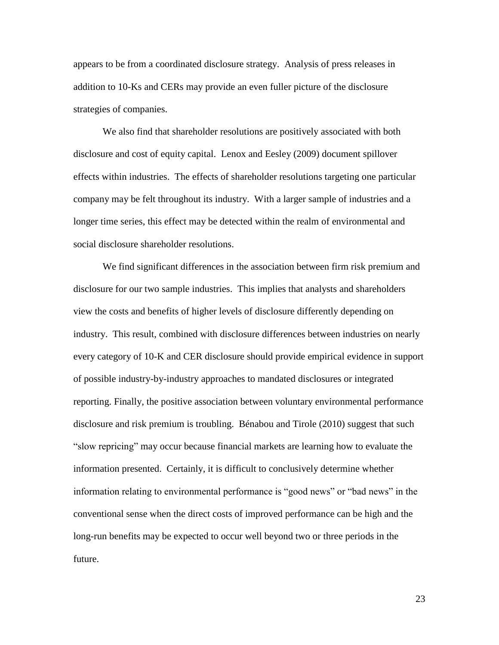appears to be from a coordinated disclosure strategy. Analysis of press releases in addition to 10-Ks and CERs may provide an even fuller picture of the disclosure strategies of companies.

We also find that shareholder resolutions are positively associated with both disclosure and cost of equity capital. Lenox and Eesley (2009) document spillover effects within industries. The effects of shareholder resolutions targeting one particular company may be felt throughout its industry. With a larger sample of industries and a longer time series, this effect may be detected within the realm of environmental and social disclosure shareholder resolutions.

We find significant differences in the association between firm risk premium and disclosure for our two sample industries. This implies that analysts and shareholders view the costs and benefits of higher levels of disclosure differently depending on industry. This result, combined with disclosure differences between industries on nearly every category of 10-K and CER disclosure should provide empirical evidence in support of possible industry-by-industry approaches to mandated disclosures or integrated reporting. Finally, the positive association between voluntary environmental performance disclosure and risk premium is troubling. Bénabou and Tirole (2010) suggest that such "slow repricing" may occur because financial markets are learning how to evaluate the information presented. Certainly, it is difficult to conclusively determine whether information relating to environmental performance is "good news" or "bad news" in the conventional sense when the direct costs of improved performance can be high and the long-run benefits may be expected to occur well beyond two or three periods in the future.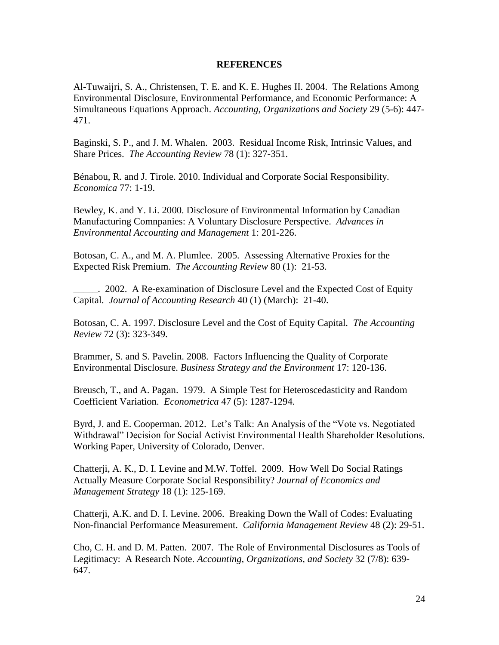### **REFERENCES**

Al-Tuwaijri, S. A., Christensen, T. E. and K. E. Hughes II. 2004. The Relations Among Environmental Disclosure, Environmental Performance, and Economic Performance: A Simultaneous Equations Approach. *Accounting, Organizations and Society* 29 (5-6): 447- 471.

Baginski, S. P., and J. M. Whalen. 2003. Residual Income Risk, Intrinsic Values, and Share Prices. *The Accounting Review* 78 (1): 327-351.

Bénabou, R. and J. Tirole. 2010. Individual and Corporate Social Responsibility. *Economica* 77: 1-19.

Bewley, K. and Y. Li. 2000. Disclosure of Environmental Information by Canadian Manufacturing Comnpanies: A Voluntary Disclosure Perspective. *Advances in Environmental Accounting and Management* 1: 201-226.

Botosan, C. A., and M. A. Plumlee. 2005. Assessing Alternative Proxies for the Expected Risk Premium. *The Accounting Review* 80 (1): 21-53.

\_\_\_\_\_. 2002. A Re-examination of Disclosure Level and the Expected Cost of Equity Capital. *Journal of Accounting Research* 40 (1) (March): 21-40.

Botosan, C. A. 1997. Disclosure Level and the Cost of Equity Capital. *The Accounting Review* 72 (3): 323-349.

Brammer, S. and S. Pavelin. 2008. Factors Influencing the Quality of Corporate Environmental Disclosure. *Business Strategy and the Environment* 17: 120-136.

Breusch, T., and A. Pagan. 1979. A Simple Test for Heteroscedasticity and Random Coefficient Variation. *Econometrica* 47 (5): 1287-1294.

Byrd, J. and E. Cooperman. 2012. Let's Talk: An Analysis of the "Vote vs. Negotiated Withdrawal" Decision for Social Activist Environmental Health Shareholder Resolutions. Working Paper, University of Colorado, Denver.

Chatterji, A. K., D. I. Levine and M.W. Toffel. 2009. How Well Do Social Ratings Actually Measure Corporate Social Responsibility? *Journal of Economics and Management Strategy* 18 (1): 125-169.

Chatterji, A.K. and D. I. Levine. 2006. Breaking Down the Wall of Codes: Evaluating Non-financial Performance Measurement. *California Management Review* 48 (2): 29-51.

Cho, C. H. and D. M. Patten. 2007. The Role of Environmental Disclosures as Tools of Legitimacy: A Research Note. *Accounting, Organizations, and Society* 32 (7/8): 639- 647.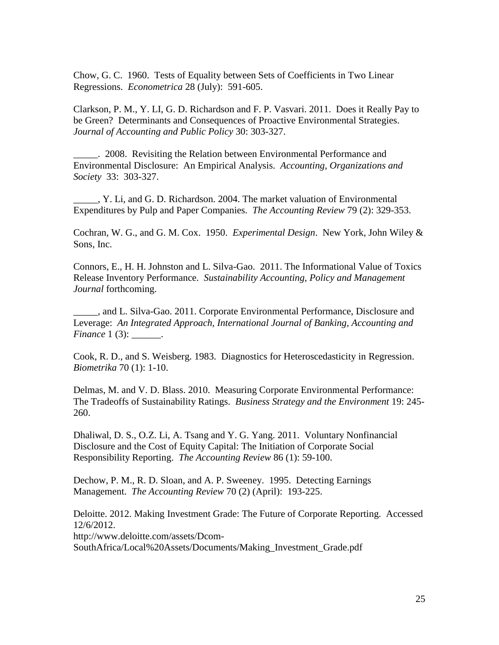Chow, G. C. 1960. Tests of Equality between Sets of Coefficients in Two Linear Regressions. *Econometrica* 28 (July): 591-605.

Clarkson, P. M., Y. LI, G. D. Richardson and F. P. Vasvari. 2011. Does it Really Pay to be Green? Determinants and Consequences of Proactive Environmental Strategies. *Journal of Accounting and Public Policy* 30: 303-327.

\_\_\_\_\_. 2008. Revisiting the Relation between Environmental Performance and Environmental Disclosure: An Empirical Analysis. *Accounting, Organizations and Society* 33: 303-327.

\_\_\_\_\_, Y. Li, and G. D. Richardson. 2004. The market valuation of Environmental Expenditures by Pulp and Paper Companies. *The Accounting Review* 79 (2): 329-353.

Cochran, W. G., and G. M. Cox. 1950. *Experimental Design*. New York, John Wiley & Sons, Inc.

Connors, E., H. H. Johnston and L. Silva-Gao. 2011. The Informational Value of Toxics Release Inventory Performance. *Sustainability Accounting, Policy and Management Journal* forthcoming.

\_\_\_\_\_, and L. Silva-Gao. 2011. Corporate Environmental Performance, Disclosure and Leverage: *An Integrated Approach, International Journal of Banking, Accounting and Finance* 1 (3): .

Cook, R. D., and S. Weisberg. 1983. Diagnostics for Heteroscedasticity in Regression. *Biometrika* 70 (1): 1-10.

Delmas, M. and V. D. Blass. 2010. Measuring Corporate Environmental Performance: The Tradeoffs of Sustainability Ratings. *Business Strategy and the Environment* 19: 245- 260.

Dhaliwal, D. S., O.Z. Li, A. Tsang and Y. G. Yang. 2011. Voluntary Nonfinancial Disclosure and the Cost of Equity Capital: The Initiation of Corporate Social Responsibility Reporting. *The Accounting Review* 86 (1): 59-100.

Dechow, P. M., R. D. Sloan, and A. P. Sweeney. 1995. Detecting Earnings Management. *The Accounting Review* 70 (2) (April): 193-225.

Deloitte. 2012. Making Investment Grade: The Future of Corporate Reporting. Accessed 12/6/2012. http://www.deloitte.com/assets/Dcom-SouthAfrica/Local%20Assets/Documents/Making\_Investment\_Grade.pdf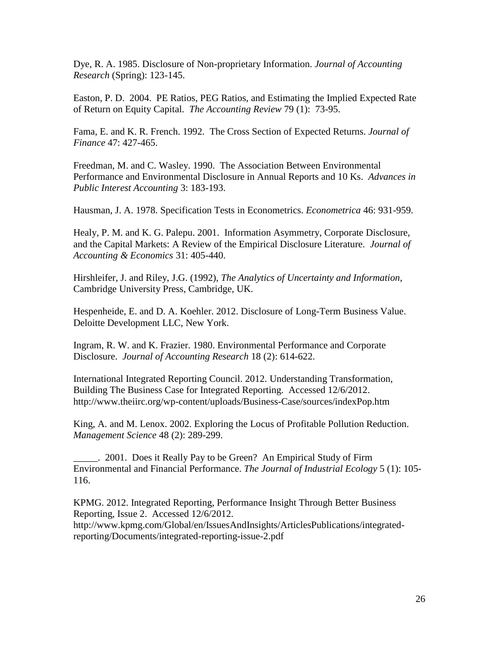Dye, R. A. 1985. Disclosure of Non-proprietary Information. *Journal of Accounting Research* (Spring): 123-145.

Easton, P. D. 2004. PE Ratios, PEG Ratios, and Estimating the Implied Expected Rate of Return on Equity Capital. *The Accounting Review* 79 (1): 73-95.

Fama, E. and K. R. French. 1992. The Cross Section of Expected Returns. *Journal of Finance* 47: 427-465.

Freedman, M. and C. Wasley. 1990. The Association Between Environmental Performance and Environmental Disclosure in Annual Reports and 10 Ks. *Advances in Public Interest Accounting* 3: 183-193.

Hausman, J. A. 1978. Specification Tests in Econometrics. *Econometrica* 46: 931-959.

Healy, P. M. and K. G. Palepu. 2001. Information Asymmetry, Corporate Disclosure, and the Capital Markets: A Review of the Empirical Disclosure Literature. *Journal of Accounting & Economics* 31: 405-440.

Hirshleifer, J. and Riley, J.G. (1992), *The Analytics of Uncertainty and Information*, Cambridge University Press, Cambridge, UK.

Hespenheide, E. and D. A. Koehler. 2012. Disclosure of Long-Term Business Value. Deloitte Development LLC, New York.

Ingram, R. W. and K. Frazier. 1980. Environmental Performance and Corporate Disclosure. *Journal of Accounting Research* 18 (2): 614-622.

International Integrated Reporting Council. 2012. Understanding Transformation, Building The Business Case for Integrated Reporting. Accessed 12/6/2012. http://www.theiirc.org/wp-content/uploads/Business-Case/sources/indexPop.htm

King, A. and M. Lenox. 2002. Exploring the Locus of Profitable Pollution Reduction. *Management Science* 48 (2): 289-299.

\_\_\_\_\_. 2001. Does it Really Pay to be Green? An Empirical Study of Firm Environmental and Financial Performance. *The Journal of Industrial Ecology* 5 (1): 105- 116.

KPMG. 2012. Integrated Reporting, Performance Insight Through Better Business Reporting, Issue 2. Accessed 12/6/2012. http://www.kpmg.com/Global/en/IssuesAndInsights/ArticlesPublications/integratedreporting/Documents/integrated-reporting-issue-2.pdf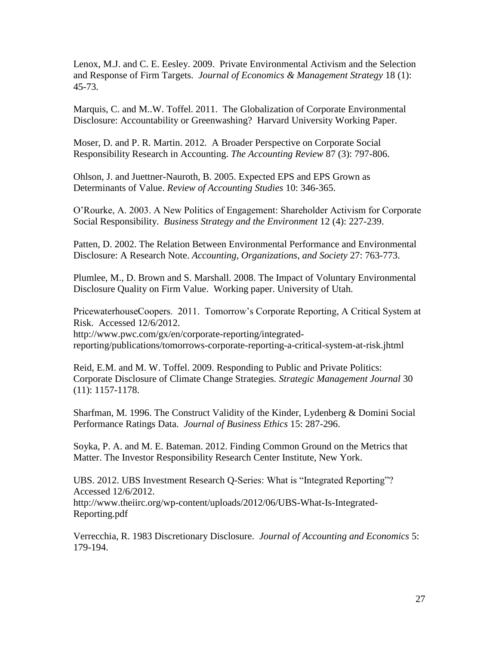Lenox, M.J. and C. E. Eesley. 2009. Private Environmental Activism and the Selection and Response of Firm Targets. *Journal of Economics & Management Strategy* 18 (1): 45-73.

Marquis, C. and M..W. Toffel. 2011. The Globalization of Corporate Environmental Disclosure: Accountability or Greenwashing? Harvard University Working Paper.

Moser, D. and P. R. Martin. 2012. A Broader Perspective on Corporate Social Responsibility Research in Accounting. *The Accounting Review* 87 (3): 797-806.

Ohlson, J. and Juettner-Nauroth, B. 2005. Expected EPS and EPS Grown as Determinants of Value. *Review of Accounting Studies* 10: 346-365.

O'Rourke, A. 2003. A New Politics of Engagement: Shareholder Activism for Corporate Social Responsibility. *Business Strategy and the Environment* 12 (4): 227-239.

Patten, D. 2002. The Relation Between Environmental Performance and Environmental Disclosure: A Research Note. *Accounting, Organizations, and Society* 27: 763-773.

Plumlee, M., D. Brown and S. Marshall. 2008. The Impact of Voluntary Environmental Disclosure Quality on Firm Value. Working paper. University of Utah.

PricewaterhouseCoopers. 2011. Tomorrow's Corporate Reporting, A Critical System at Risk. Accessed 12/6/2012.

http://www.pwc.com/gx/en/corporate-reporting/integratedreporting/publications/tomorrows-corporate-reporting-a-critical-system-at-risk.jhtml

Reid, E.M. and M. W. Toffel. 2009. Responding to Public and Private Politics: Corporate Disclosure of Climate Change Strategies. *Strategic Management Journal* 30 (11): 1157-1178.

Sharfman, M. 1996. The Construct Validity of the Kinder, Lydenberg & Domini Social Performance Ratings Data. *Journal of Business Ethics* 15: 287-296.

Soyka, P. A. and M. E. Bateman. 2012. Finding Common Ground on the Metrics that Matter. The Investor Responsibility Research Center Institute, New York.

UBS. 2012. UBS Investment Research Q-Series: What is "Integrated Reporting"? Accessed 12/6/2012. http://www.theiirc.org/wp-content/uploads/2012/06/UBS-What-Is-Integrated-Reporting.pdf

Verrecchia, R. 1983 Discretionary Disclosure. *Journal of Accounting and Economics* 5: 179-194.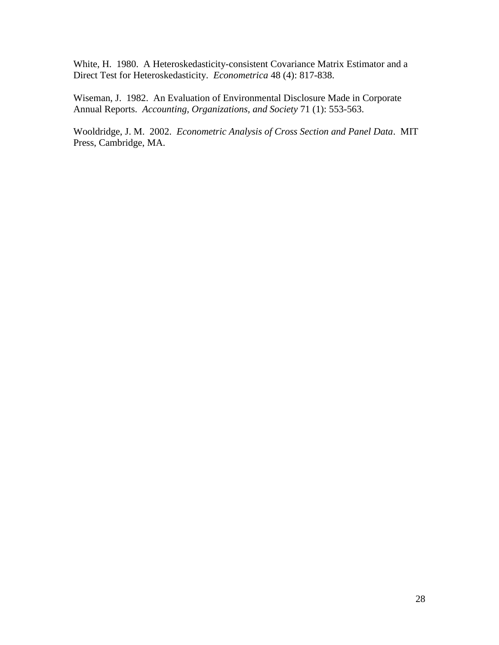White, H. 1980. A Heteroskedasticity-consistent Covariance Matrix Estimator and a Direct Test for Heteroskedasticity. *Econometrica* 48 (4): 817-838.

Wiseman, J. 1982. An Evaluation of Environmental Disclosure Made in Corporate Annual Reports. *Accounting, Organizations, and Society* 71 (1): 553-563.

Wooldridge, J. M. 2002. *Econometric Analysis of Cross Section and Panel Data*. MIT Press, Cambridge, MA.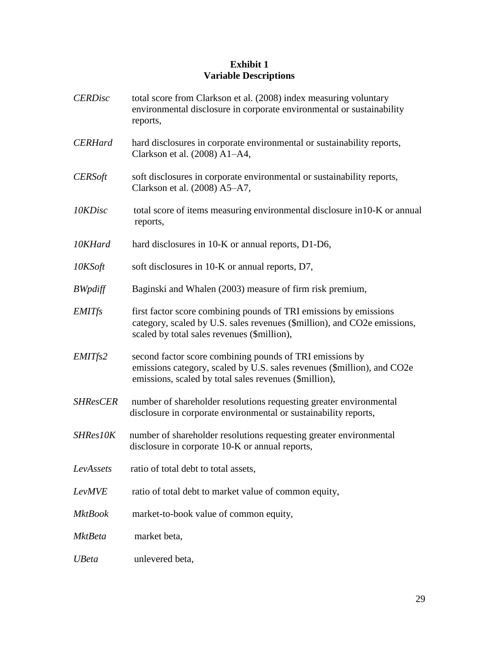# **Exhibit 1 Variable Descriptions**

| <b>CERDisc</b>  | total score from Clarkson et al. (2008) index measuring voluntary<br>environmental disclosure in corporate environmental or sustainability<br>reports,                                        |
|-----------------|-----------------------------------------------------------------------------------------------------------------------------------------------------------------------------------------------|
| <b>CERHard</b>  | hard disclosures in corporate environmental or sustainability reports,<br>Clarkson et al. (2008) A1-A4,                                                                                       |
| <b>CERSoft</b>  | soft disclosures in corporate environmental or sustainability reports,<br>Clarkson et al. (2008) A5-A7,                                                                                       |
| 10KDisc         | total score of items measuring environmental disclosure in 10-K or annual<br>reports,                                                                                                         |
| 10KHard         | hard disclosures in 10-K or annual reports, D1-D6,                                                                                                                                            |
| 10KSoft         | soft disclosures in 10-K or annual reports, D7,                                                                                                                                               |
| <b>BWpdiff</b>  | Baginski and Whalen (2003) measure of firm risk premium,                                                                                                                                      |
| <b>EMITfs</b>   | first factor score combining pounds of TRI emissions by emissions<br>category, scaled by U.S. sales revenues (\$million), and CO2e emissions,<br>scaled by total sales revenues (\$million),  |
| EMITfs2         | second factor score combining pounds of TRI emissions by<br>emissions category, scaled by U.S. sales revenues (\$million), and CO2e<br>emissions, scaled by total sales revenues (\$million), |
| <b>SHResCER</b> | number of shareholder resolutions requesting greater environmental<br>disclosure in corporate environmental or sustainability reports,                                                        |
| SHRes10K        | number of shareholder resolutions requesting greater environmental<br>disclosure in corporate 10-K or annual reports,                                                                         |
| LevAssets       | ratio of total debt to total assets,                                                                                                                                                          |
| LevMVE          | ratio of total debt to market value of common equity,                                                                                                                                         |
| MktBook         | market-to-book value of common equity,                                                                                                                                                        |
| MktBeta         | market beta,                                                                                                                                                                                  |
| <b>UBeta</b>    | unlevered beta,                                                                                                                                                                               |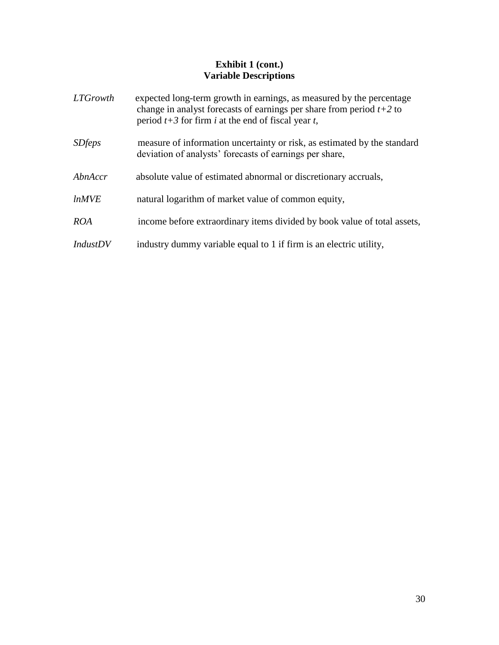## **Exhibit 1 (cont.) Variable Descriptions**

| <i>LTGrowth</i> | expected long-term growth in earnings, as measured by the percentage<br>change in analyst forecasts of earnings per share from period $t+2$ to<br>period $t+3$ for firm i at the end of fiscal year t, |
|-----------------|--------------------------------------------------------------------------------------------------------------------------------------------------------------------------------------------------------|
| <i>SDfeps</i>   | measure of information uncertainty or risk, as estimated by the standard<br>deviation of analysts' forecasts of earnings per share,                                                                    |
| AbnAccr         | absolute value of estimated abnormal or discretionary accruals,                                                                                                                                        |
| lnMVE           | natural logarithm of market value of common equity,                                                                                                                                                    |
| <b>ROA</b>      | income before extraordinary items divided by book value of total assets,                                                                                                                               |
| <i>IndustDV</i> | industry dummy variable equal to 1 if firm is an electric utility,                                                                                                                                     |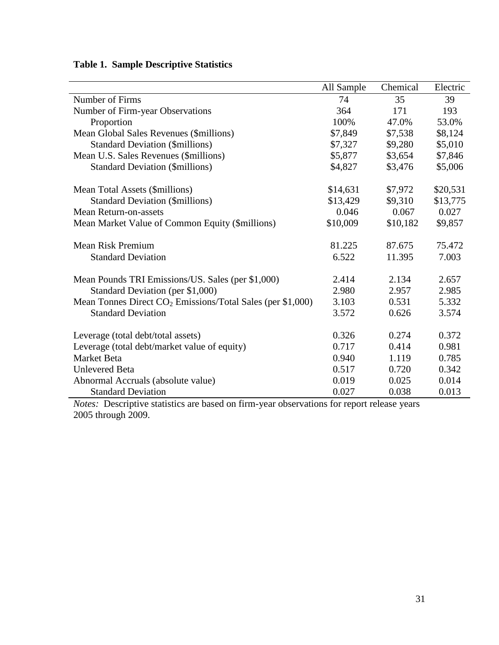|                                                               | All Sample | Chemical | Electric |
|---------------------------------------------------------------|------------|----------|----------|
| Number of Firms                                               | 74         | 35       | 39       |
| Number of Firm-year Observations                              | 364        | 171      | 193      |
| Proportion                                                    | 100%       | 47.0%    | 53.0%    |
| Mean Global Sales Revenues (\$millions)                       | \$7,849    | \$7,538  | \$8,124  |
| <b>Standard Deviation (\$millions)</b>                        | \$7,327    | \$9,280  | \$5,010  |
| Mean U.S. Sales Revenues (\$millions)                         | \$5,877    | \$3,654  | \$7,846  |
| <b>Standard Deviation (\$millions)</b>                        | \$4,827    | \$3,476  | \$5,006  |
| Mean Total Assets (\$millions)                                | \$14,631   | \$7,972  | \$20,531 |
| <b>Standard Deviation (\$millions)</b>                        | \$13,429   | \$9,310  | \$13,775 |
| <b>Mean Return-on-assets</b>                                  | 0.046      | 0.067    | 0.027    |
| Mean Market Value of Common Equity (\$millions)               | \$10,009   | \$10,182 | \$9,857  |
| <b>Mean Risk Premium</b>                                      | 81.225     | 87.675   | 75.472   |
| <b>Standard Deviation</b>                                     | 6.522      | 11.395   | 7.003    |
| Mean Pounds TRI Emissions/US. Sales (per \$1,000)             | 2.414      | 2.134    | 2.657    |
| Standard Deviation (per \$1,000)                              | 2.980      | 2.957    | 2.985    |
| Mean Tonnes Direct $CO_2$ Emissions/Total Sales (per \$1,000) | 3.103      | 0.531    | 5.332    |
| <b>Standard Deviation</b>                                     | 3.572      | 0.626    | 3.574    |
| Leverage (total debt/total assets)                            | 0.326      | 0.274    | 0.372    |
| Leverage (total debt/market value of equity)                  | 0.717      | 0.414    | 0.981    |
| <b>Market Beta</b>                                            | 0.940      | 1.119    | 0.785    |
| <b>Unlevered Beta</b>                                         | 0.517      | 0.720    | 0.342    |
| Abnormal Accruals (absolute value)                            | 0.019      | 0.025    | 0.014    |
| <b>Standard Deviation</b>                                     | 0.027      | 0.038    | 0.013    |

# **Table 1. Sample Descriptive Statistics**

*Notes:* Descriptive statistics are based on firm-year observations for report release years 2005 through 2009.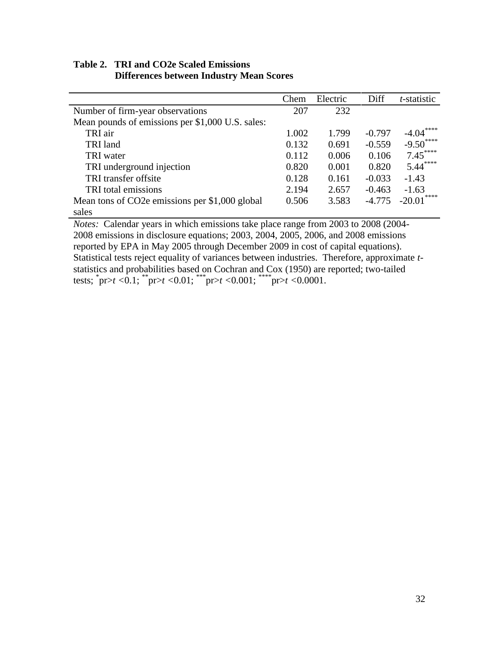# **Table 2. TRI and CO2e Scaled Emissions Differences between Industry Mean Scores**

|                                                  | Chem  | Electric | Diff     | <i>t</i> -statistic |
|--------------------------------------------------|-------|----------|----------|---------------------|
| Number of firm-year observations                 | 207   | 232      |          |                     |
| Mean pounds of emissions per \$1,000 U.S. sales: |       |          |          |                     |
| TRI air                                          | 1.002 | 1.799    | $-0.797$ | ****<br>$-4.04$     |
| TRI land                                         | 0.132 | 0.691    | $-0.559$ | $-9.50***$          |
| TRI water                                        | 0.112 | 0.006    | 0.106    | $7.45***$           |
| TRI underground injection                        | 0.820 | 0.001    | 0.820    | $5.44***$           |
| TRI transfer offsite                             | 0.128 | 0.161    | $-0.033$ | $-1.43$             |
| TRI total emissions                              | 2.194 | 2.657    | $-0.463$ | $-1.63$             |
| Mean tons of CO2e emissions per \$1,000 global   | 0.506 | 3.583    | $-4.775$ | $-20.01***$         |
| sales                                            |       |          |          |                     |

*Notes:* Calendar years in which emissions take place range from 2003 to 2008 (2004- 2008 emissions in disclosure equations; 2003, 2004, 2005, 2006, and 2008 emissions reported by EPA in May 2005 through December 2009 in cost of capital equations). Statistical tests reject equality of variances between industries. Therefore, approximate *t*statistics and probabilities based on Cochran and Cox (1950) are reported; two-tailed tests; \* pr>*t <*0.1; \*\*pr>*t <*0.01; \*\*\*pr>*t <*0.001; \*\*\*\*pr>*t <*0.0001.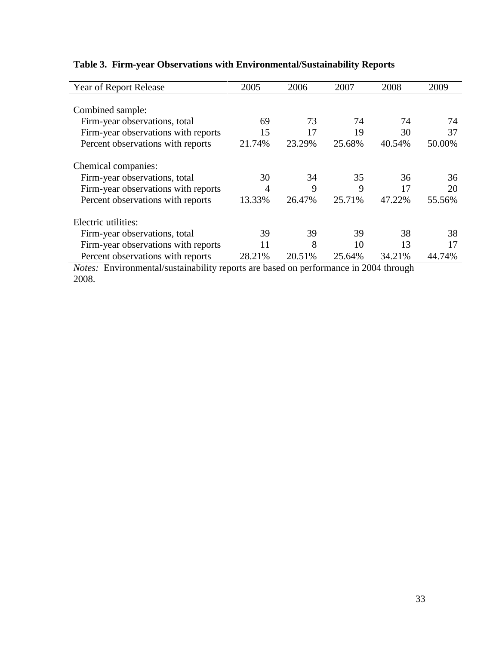| Year of Report Release              | 2005   | 2006   | 2007   | 2008   | 2009   |
|-------------------------------------|--------|--------|--------|--------|--------|
|                                     |        |        |        |        |        |
| Combined sample:                    |        |        |        |        |        |
| Firm-year observations, total       | 69     | 73     | 74     | 74     | 74     |
| Firm-year observations with reports | 15     | 17     | 19     | 30     | 37     |
| Percent observations with reports   | 21.74% | 23.29% | 25.68% | 40.54% | 50.00% |
| Chemical companies:                 |        |        |        |        |        |
| Firm-year observations, total       | 30     | 34     | 35     | 36     | 36     |
| Firm-year observations with reports | 4      | 9      | 9      | 17     | 20     |
| Percent observations with reports   | 13.33% | 26.47% | 25.71% | 47.22% | 55.56% |
| Electric utilities:                 |        |        |        |        |        |
| Firm-year observations, total       | 39     | 39     | 39     | 38     | 38     |
| Firm-year observations with reports | 11     | 8      | 10     | 13     | 17     |
| Percent observations with reports   | 28.21% | 20.51% | 25.64% | 34.21% | 44.74% |

# **Table 3. Firm-year Observations with Environmental/Sustainability Reports**

*Notes:* Environmental/sustainability reports are based on performance in 2004 through 2008.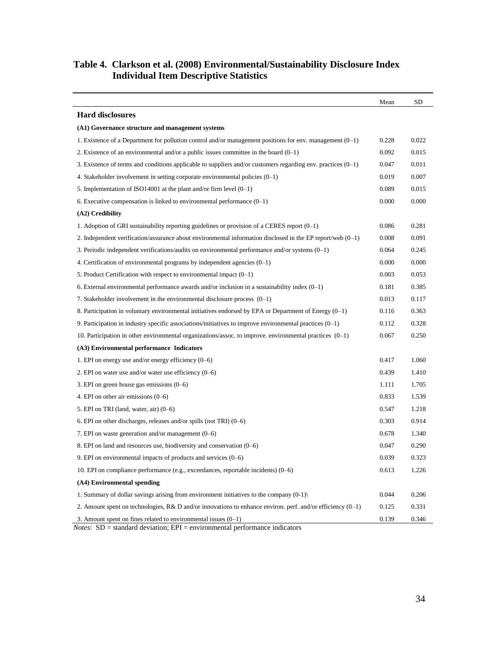### **Table 4. Clarkson et al. (2008) Environmental/Sustainability Disclosure Index Individual Item Descriptive Statistics**

|                                                                                                                 | Mean  | SD    |
|-----------------------------------------------------------------------------------------------------------------|-------|-------|
| <b>Hard disclosures</b>                                                                                         |       |       |
| (A1) Governance structure and management systems                                                                |       |       |
| 1. Existence of a Department for pollution control and/or management positions for env. management $(0-1)$      | 0.228 | 0.022 |
| 2. Existence of an environmental and/or a public issues committee in the board $(0-1)$                          | 0.092 | 0.015 |
| 3. Existence of terms and conditions applicable to suppliers and/or customers regarding env. practices $(0-1)$  | 0.047 | 0.011 |
| 4. Stakeholder involvement in setting corporate environmental policies $(0-1)$                                  | 0.019 | 0.007 |
| 5. Implementation of ISO14001 at the plant and/or firm level $(0-1)$                                            | 0.089 | 0.015 |
| 6. Executive compensation is linked to environmental performance $(0-1)$                                        | 0.000 | 0.000 |
| $(A2)$ Credibility                                                                                              |       |       |
| 1. Adoption of GRI sustainability reporting guidelines or provision of a CERES report $(0-1)$                   | 0.086 | 0.281 |
| 2. Independent verification/assurance about environmental information disclosed in the EP report/web $(0-1)$    | 0.008 | 0.091 |
| 3. Periodic independent verifications/audits on environmental performance and/or systems $(0-1)$                | 0.064 | 0.245 |
| 4. Certification of environmental programs by independent agencies $(0-1)$                                      | 0.000 | 0.000 |
| 5. Product Certification with respect to environmental impact $(0-1)$                                           | 0.003 | 0.053 |
| 6. External environmental performance awards and/or inclusion in a sustainability index $(0-1)$                 | 0.181 | 0.385 |
| 7. Stakeholder involvement in the environmental disclosure process $(0-1)$                                      | 0.013 | 0.117 |
| 8. Participation in voluntary environmental initiatives endorsed by EPA or Department of Energy $(0-1)$         | 0.116 | 0.363 |
| 9. Participation in industry specific associations/initiatives to improve environmental practices $(0-1)$       | 0.112 | 0.328 |
| 10. Participation in other environmental organizations/assoc. to improve. environmental practices $(0-1)$       | 0.067 | 0.250 |
| (A3) Environmental performance Indicators                                                                       |       |       |
| 1. EPI on energy use and/or energy efficiency $(0-6)$                                                           | 0.417 | 1.060 |
| 2. EPI on water use and/or water use efficiency $(0-6)$                                                         | 0.439 | 1.410 |
| 3. EPI on green house gas emissions $(0-6)$                                                                     | 1.111 | 1.705 |
| 4. EPI on other air emissions $(0-6)$                                                                           | 0.833 | 1.539 |
| 5. EPI on TRI (land, water, air) $(0-6)$                                                                        | 0.547 | 1.218 |
| 6. EPI on other discharges, releases and/or spills (not TRI) $(0-6)$                                            | 0.303 | 0.914 |
| 7. EPI on waste generation and/or management $(0-6)$                                                            | 0.678 | 1.340 |
| 8. EPI on land and resources use, biodiversity and conservation $(0-6)$                                         | 0.047 | 0.290 |
| 9. EPI on environmental impacts of products and services (0-6)                                                  | 0.039 | 0.323 |
| 10. EPI on compliance performance (e.g., exceedances, reportable incidents) (0–6)                               | 0.613 | 1.226 |
| (A4) Environmental spending                                                                                     |       |       |
| 1. Summary of dollar savings arising from environment initiatives to the company $(0-1)$                        | 0.044 | 0.206 |
| 2. Amount spent on technologies, $R\& D$ and/or innovations to enhance environ. perf. and/or efficiency $(0-1)$ | 0.125 | 0.331 |
| 3. Amount spent on fines related to environmental issues $(0-1)$                                                | 0.139 | 0.346 |

*Notes*: SD = standard deviation; EPI = environmental performance indicators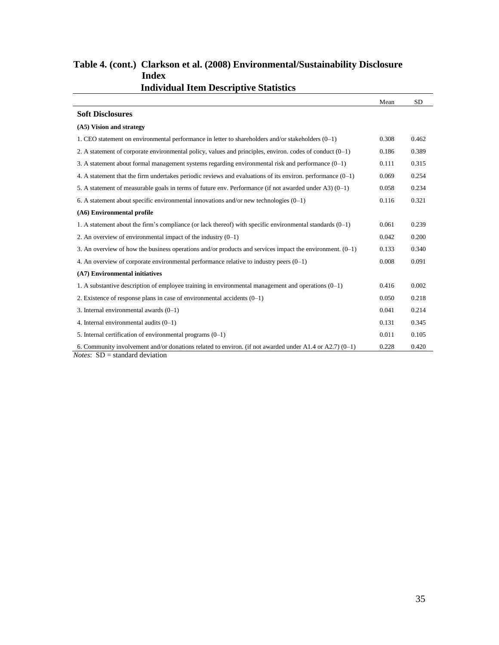| Individual Item Descriptive Statistics                                                                       |       |           |
|--------------------------------------------------------------------------------------------------------------|-------|-----------|
|                                                                                                              | Mean  | <b>SD</b> |
| <b>Soft Disclosures</b>                                                                                      |       |           |
| (A5) Vision and strategy                                                                                     |       |           |
| 1. CEO statement on environmental performance in letter to shareholders and/or stakeholders (0-1)            | 0.308 | 0.462     |
| 2. A statement of corporate environmental policy, values and principles, environ. codes of conduct $(0-1)$   | 0.186 | 0.389     |
| 3. A statement about formal management systems regarding environmental risk and performance $(0-1)$          | 0.111 | 0.315     |
| 4. A statement that the firm undertakes periodic reviews and evaluations of its environ. performance $(0-1)$ | 0.069 | 0.254     |
| 5. A statement of measurable goals in terms of future env. Performance (if not awarded under A3) $(0-1)$     | 0.058 | 0.234     |
| 6. A statement about specific environmental innovations and/or new technologies $(0-1)$                      | 0.116 | 0.321     |
| (A6) Environmental profile                                                                                   |       |           |
| 1. A statement about the firm's compliance (or lack thereof) with specific environmental standards $(0-1)$   | 0.061 | 0.239     |
| 2. An overview of environmental impact of the industry $(0-1)$                                               | 0.042 | 0.200     |
| 3. An overview of how the business operations and/or products and services impact the environment. $(0-1)$   | 0.133 | 0.340     |
| 4. An overview of corporate environmental performance relative to industry peers $(0-1)$                     | 0.008 | 0.091     |
| (A7) Environmental initiatives                                                                               |       |           |
| 1. A substantive description of employee training in environmental management and operations (0-1)           | 0.416 | 0.002     |
| 2. Existence of response plans in case of environmental accidents $(0-1)$                                    | 0.050 | 0.218     |
| 3. Internal environmental awards $(0-1)$                                                                     | 0.041 | 0.214     |
| 4. Internal environmental audits $(0-1)$                                                                     | 0.131 | 0.345     |
| 5. Internal certification of environmental programs $(0-1)$                                                  | 0.011 | 0.105     |
| 6. Community involvement and/or donations related to environ. (if not awarded under A1.4 or A2.7) $(0-1)$    | 0.228 | 0.420     |
| <i>Notes</i> : $SD = standard deviation$                                                                     |       |           |

## **Table 4. (cont.) Clarkson et al. (2008) Environmental/Sustainability Disclosure Index Individual Item Descriptive Statistics**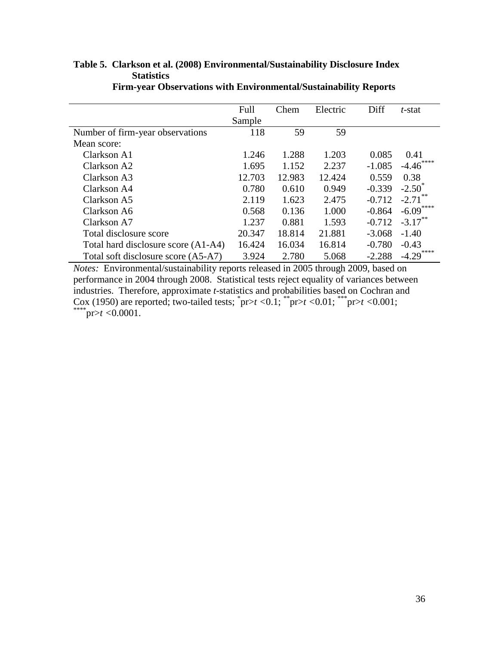|                                     | Full   | Chem   | Electric | Diff     | t-stat               |
|-------------------------------------|--------|--------|----------|----------|----------------------|
|                                     | Sample |        |          |          |                      |
| Number of firm-year observations    | 118    | 59     | 59       |          |                      |
| Mean score:                         |        |        |          |          |                      |
| Clarkson A1                         | 1.246  | 1.288  | 1.203    | 0.085    | 0.41                 |
| Clarkson A2                         | 1.695  | 1.152  | 2.237    | $-1.085$ | $-4.46^{\degree}$    |
| Clarkson A3                         | 12.703 | 12.983 | 12.424   | 0.559    | 0.38                 |
| Clarkson A4                         | 0.780  | 0.610  | 0.949    | $-0.339$ | $-2.50^{\circ}$      |
| Clarkson A5                         | 2.119  | 1.623  | 2.475    | $-0.712$ | $-2.71$ <sup>*</sup> |
| Clarkson A6                         | 0.568  | 0.136  | 1.000    | $-0.864$ | $-6.09***$           |
| Clarkson A7                         | 1.237  | 0.881  | 1.593    | $-0.712$ | $-3.17$ **           |
| Total disclosure score              | 20.347 | 18.814 | 21.881   | $-3.068$ | $-1.40$              |
| Total hard disclosure score (A1-A4) | 16.424 | 16.034 | 16.814   | $-0.780$ | $-0.43$              |
| Total soft disclosure score (A5-A7) | 3.924  | 2.780  | 5.068    | $-2.288$ | $-4.29$              |

# **Table 5. Clarkson et al. (2008) Environmental/Sustainability Disclosure Index Statistics**

 **Firm-year Observations with Environmental/Sustainability Reports**

*Notes:* Environmental/sustainability reports released in 2005 through 2009, based on performance in 2004 through 2008. Statistical tests reject equality of variances between industries. Therefore, approximate *t*-statistics and probabilities based on Cochran and Cox (1950) are reported; two-tailed tests;  $\text{pr} > t < 0.1$ ;  $\text{pr} > t < 0.01$ ;  $\text{pr} > t < 0.001$ ;  $*$ pr>*t* <0.0001.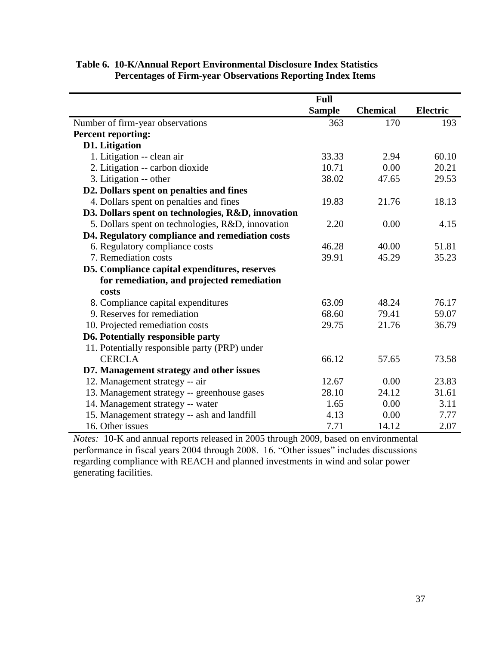|                                                    | <b>Full</b>   |                 |                 |
|----------------------------------------------------|---------------|-----------------|-----------------|
|                                                    | <b>Sample</b> | <b>Chemical</b> | <b>Electric</b> |
| Number of firm-year observations                   | 363           | 170             | 193             |
| <b>Percent reporting:</b>                          |               |                 |                 |
| <b>D1.</b> Litigation                              |               |                 |                 |
| 1. Litigation -- clean air                         | 33.33         | 2.94            | 60.10           |
| 2. Litigation -- carbon dioxide                    | 10.71         | 0.00            | 20.21           |
| 3. Litigation -- other                             | 38.02         | 47.65           | 29.53           |
| D2. Dollars spent on penalties and fines           |               |                 |                 |
| 4. Dollars spent on penalties and fines            | 19.83         | 21.76           | 18.13           |
| D3. Dollars spent on technologies, R&D, innovation |               |                 |                 |
| 5. Dollars spent on technologies, R&D, innovation  | 2.20          | 0.00            | 4.15            |
| D4. Regulatory compliance and remediation costs    |               |                 |                 |
| 6. Regulatory compliance costs                     | 46.28         | 40.00           | 51.81           |
| 7. Remediation costs                               | 39.91         | 45.29           | 35.23           |
| D5. Compliance capital expenditures, reserves      |               |                 |                 |
| for remediation, and projected remediation         |               |                 |                 |
| costs                                              |               |                 |                 |
| 8. Compliance capital expenditures                 | 63.09         | 48.24           | 76.17           |
| 9. Reserves for remediation                        | 68.60         | 79.41           | 59.07           |
| 10. Projected remediation costs                    | 29.75         | 21.76           | 36.79           |
| D6. Potentially responsible party                  |               |                 |                 |
| 11. Potentially responsible party (PRP) under      |               |                 |                 |
| <b>CERCLA</b>                                      | 66.12         | 57.65           | 73.58           |
| D7. Management strategy and other issues           |               |                 |                 |
| 12. Management strategy -- air                     | 12.67         | 0.00            | 23.83           |
| 13. Management strategy -- greenhouse gases        | 28.10         | 24.12           | 31.61           |
| 14. Management strategy -- water                   | 1.65          | 0.00            | 3.11            |
| 15. Management strategy -- ash and landfill        | 4.13          | 0.00            | 7.77            |
| 16. Other issues                                   | 7.71          | 14.12           | 2.07            |

## **Table 6. 10-K/Annual Report Environmental Disclosure Index Statistics Percentages of Firm-year Observations Reporting Index Items**

*Notes:* 10-K and annual reports released in 2005 through 2009, based on environmental performance in fiscal years 2004 through 2008. 16. "Other issues" includes discussions regarding compliance with REACH and planned investments in wind and solar power generating facilities.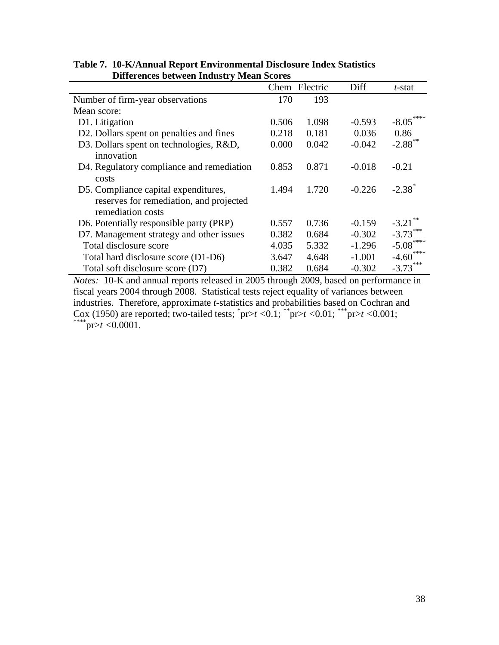| Differences between muusti v mean scores                                                             |       |          |          |                       |  |
|------------------------------------------------------------------------------------------------------|-------|----------|----------|-----------------------|--|
|                                                                                                      | Chem  | Electric | Diff     | t-stat                |  |
| Number of firm-year observations                                                                     | 170   | 193      |          |                       |  |
| Mean score:                                                                                          |       |          |          |                       |  |
| D1. Litigation                                                                                       | 0.506 | 1.098    | $-0.593$ | $-8.05***$            |  |
| D2. Dollars spent on penalties and fines                                                             | 0.218 | 0.181    | 0.036    | 0.86                  |  |
| D3. Dollars spent on technologies, R&D,<br>innovation                                                | 0.000 | 0.042    | $-0.042$ | $-2.88$ <sup>**</sup> |  |
| D4. Regulatory compliance and remediation<br>costs                                                   | 0.853 | 0.871    | $-0.018$ | $-0.21$               |  |
| D5. Compliance capital expenditures,<br>reserves for remediation, and projected<br>remediation costs | 1.494 | 1.720    | $-0.226$ | $-2.38$ <sup>*</sup>  |  |
| D6. Potentially responsible party (PRP)                                                              | 0.557 | 0.736    | $-0.159$ | $-3.21$               |  |
| D7. Management strategy and other issues                                                             | 0.382 | 0.684    | $-0.302$ | $-3.73***$            |  |
| Total disclosure score                                                                               | 4.035 | 5.332    | $-1.296$ | $-5.08$               |  |
| Total hard disclosure score (D1-D6)                                                                  | 3.647 | 4.648    | $-1.001$ | ****<br>$-4.60$       |  |
| Total soft disclosure score (D7)<br>$\sim$ $\sim$ $\sim$ $\sim$                                      | 0.382 | 0.684    | $-0.302$ | $-3.73***$            |  |

**Table 7. 10-K/Annual Report Environmental Disclosure Index Statistics Differences between Industry Mean Scores**

*Notes:* 10-K and annual reports released in 2005 through 2009, based on performance in fiscal years 2004 through 2008. Statistical tests reject equality of variances between industries. Therefore, approximate *t*-statistics and probabilities based on Cochran and Cox (1950) are reported; two-tailed tests;  $\text{pr} > t < 0.1$ ;  $\text{pr} > t < 0.01$ ;  $\text{pr} > t < 0.001$ ; \*\*\*\*pr>*t <*0.0001.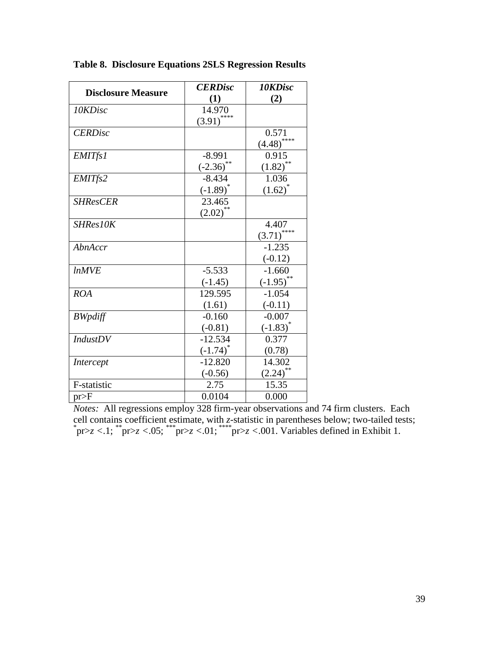| <b>Disclosure Measure</b> | <b>CERDisc</b> | 10KDisc                  |
|---------------------------|----------------|--------------------------|
|                           | (1)            | (2)                      |
| 10KDisc                   | 14.970         |                          |
|                           | $(3.91)$ ****  |                          |
| <b>CERDisc</b>            |                | 0.571                    |
|                           |                | $\left(4.48\right)$ **** |
| <b>EMITfs1</b>            | $-8.991$       | 0.915                    |
|                           | $(-2.36)$      | (1.82)                   |
| EMITfs2                   | $-8.434$       | 1.036                    |
|                           | $(-1.89)^*$    | $(1.62)^{*}$             |
| <b>SHResCER</b>           | 23.465         |                          |
|                           | $(2.02)$ **    |                          |
| SHRes10K                  |                | 4.407                    |
|                           |                | ****<br>(3.71)           |
| AbnAccr                   |                | $-1.235$                 |
|                           |                | $(-0.12)$                |
| <i>lnMVE</i>              | $-5.533$       | $-1.660$                 |
|                           | $(-1.45)$      | $(-1.95)$                |
| <b>ROA</b>                | 129.595        | $-1.054$                 |
|                           | (1.61)         | $(-0.11)$                |
| <b>BWpdiff</b>            | $-0.160$       | $-0.007$                 |
|                           | $(-0.81)$      | $(-1.83)^*$              |
| <b>IndustDV</b>           | $-12.534$      | 0.377                    |
|                           | $(-1.74)^{*}$  | (0.78)                   |
| Intercept                 | $-12.820$      | 14.302                   |
|                           | $(-0.56)$      | **<br>(2.24)             |
| F-statistic               | 2.75           | 15.35                    |
| pr>F                      | 0.0104         | 0.000                    |

**Table 8. Disclosure Equations 2SLS Regression Results**

*Notes:* All regressions employ 328 firm-year observations and 74 firm clusters. Each cell contains coefficient estimate, with *z*-statistic in parentheses below; two-tailed tests; \* pr>*z <*.1; \*\*pr>*z <*.05; \*\*\*pr>*z <*.01; \*\*\*\*pr>*z <*.001. Variables defined in Exhibit 1.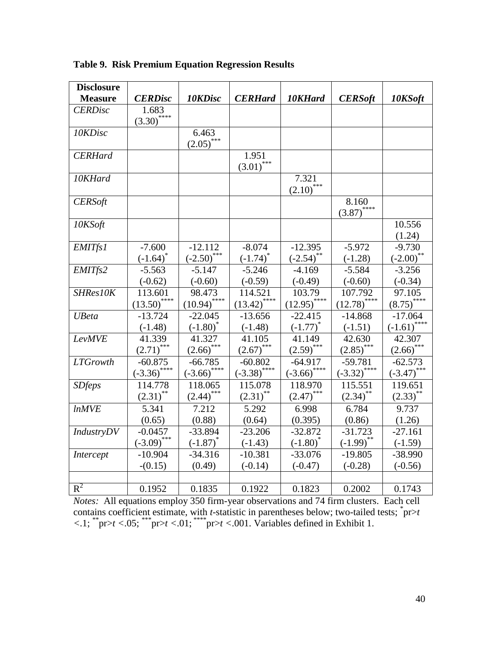| <b>Disclosure</b> |                                    |                           |                        |                             |                            |                     |
|-------------------|------------------------------------|---------------------------|------------------------|-----------------------------|----------------------------|---------------------|
| <b>Measure</b>    | <b>CERDisc</b>                     | 10KDisc                   | <b>CERHard</b>         | 10KHard                     | <b>CERSoft</b>             | 10KSoft             |
| <b>CERDisc</b>    | 1.683<br>$\overline{(3.30)}^{***}$ |                           |                        |                             |                            |                     |
| 10KDisc           |                                    | 6.463<br>$(2.05)$ ***     |                        |                             |                            |                     |
| <b>CERHard</b>    |                                    |                           | 1.951<br>$(3.01)$ ***  |                             |                            |                     |
| 10KHard           |                                    |                           |                        | 7.321<br>$(2.10)$ ***       |                            |                     |
| <b>CERSoft</b>    |                                    |                           |                        |                             | 8.160<br>$(3.87)$ ****     |                     |
| 10KSoft           |                                    |                           |                        |                             |                            | 10.556<br>(1.24)    |
| <b>EMITfs1</b>    | $-7.600$                           | $-12.112$                 | $-8.074$               | $-12.395$                   | $-5.972$                   | $-9.730$            |
|                   | $(-1.64)$                          | $(-2.50)$ ***             | $(-1.74)^{*}$          | $(-2.54)$ **                | $(-1.28)$                  | $(-2.00)$ **        |
| EMITfs2           | $-5.563$                           | $-5.147$                  | $-5.246$               | $-4.169$                    | $-5.584$                   | $-3.256$            |
|                   | $(-0.62)$                          | $(-0.60)$                 | $(-0.59)$              | $(-0.49)$                   | $(-0.60)$                  | $(-0.34)$           |
| SHRes10K          | 113.601                            | 98.473                    | 114.521                | 103.79                      | 107.792                    | 97.105              |
|                   | $(13.50)$ ****                     | $(10.94)$ <sup>****</sup> | $(13.42)$ ****         | $(12.95)$ ****              | $(12.78)$ <sup>****</sup>  | $(8.75)$ ****       |
| <b>UBeta</b>      | $-13.724$                          | $-22.045$                 | $-13.656$              | $-22.415$                   | $-14.868$                  | $-17.064$           |
|                   | $(-1.48)$                          | $(-1.80)^*$               | $(-1.48)$              | $(-1.77)^{*}$               | $(-1.51)$                  | $\frac{(-1.61)}{2}$ |
| <b>LevMVE</b>     | 41.339                             | 41.327                    | 41.105                 | 41.149                      | 42.630                     | 42.307              |
|                   | $(2.71)$ ***                       | $(2.66)$ ***              | $(2.67)$ ***           | $(2.59)$ ***                | $(2.85)$ ***               | $(2.66)$ ***        |
| <b>LTGrowth</b>   | $-60.875$                          | $-66.785$                 | $-60.802$              | $-64.917$                   | $-59.781$                  | $-62.573$           |
|                   | $(-3.36)$ ****                     | $(-3.66)$ ****            | $(-3.38)$ ****         | $\left( -3.66 \right)$ **** | $\overline{(-3.32)}^{***}$ | $(-3.47)$ ***       |
| <b>SDfeps</b>     | 114.778                            | 118.065                   | 115.078                | 118.970                     | 115.551                    | 119.651             |
|                   | $(2.31)$ **                        | $(2.44)$ <sup>***</sup>   | $(2.31)$ <sup>**</sup> | $(2.47)$ ***                | $(2.34)$ **                | $(2.33)$ **         |
| <b>lnMVE</b>      | 5.341                              | 7.212                     | 5.292                  | 6.998                       | 6.784                      | 9.737               |
|                   | (0.65)                             | (0.88)                    | (0.64)                 | (0.395)                     | (0.86)                     | (1.26)              |
| IndustryDV        | $-0.0457$                          | $-33.894$                 | $-23.206$              | $-32.872$                   | $-31.723$                  | $-27.161$           |
|                   | $(-3.09)$ ***                      | $(-1.87)$ *               | $(-1.43)$              | $(-1.80)$ <sup>*</sup>      | $(-1.99)$ **               | $(-1.59)$           |
| Intercept         | $-10.904$                          | $-34.316$                 | $-10.381$              | $-33.076$                   | $-19.805$                  | $-38.990$           |
|                   | $-(0.15)$                          | (0.49)                    | $(-0.14)$              | $(-0.47)$                   | $(-0.28)$                  | $(-0.56)$           |
|                   |                                    |                           |                        |                             |                            |                     |
| $R^2$             | 0.1952                             | 0.1835                    | 0.1922                 | 0.1823                      | 0.2002                     | 0.1743              |

**Table 9. Risk Premium Equation Regression Results**

*Notes:* All equations employ 350 firm-year observations and 74 firm clusters. Each cell contains coefficient estimate, with *t*-statistic in parentheses below; two-tailed tests;  $\text{pr} > t$  $\langle 1; \text{``pr} \rangle t \langle 0.05; \text{''} \text{''pr} \rangle t \langle 0.01; \text{''} \text{''pr} \rangle t \langle 0.01. \text{ Variables defined in Exhibit 1.}$